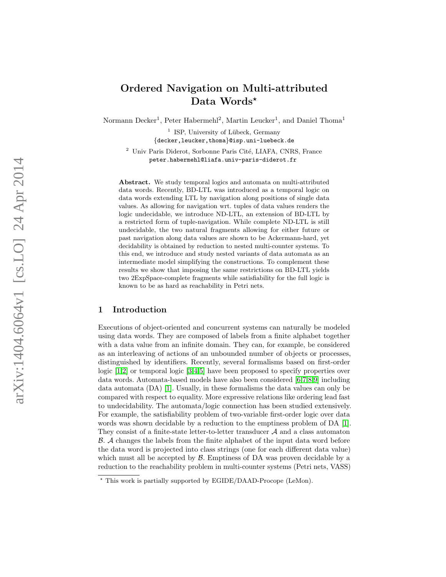# Ordered Navigation on Multi-attributed Data Words\*

Normann Decker<sup>1</sup>, Peter Habermehl<sup>2</sup>, Martin Leucker<sup>1</sup>, and Daniel Thoma<sup>1</sup>

<sup>1</sup> ISP, University of Lübeck, Germany {decker,leucker,thoma }@isp.uni-luebeck.de

<sup>2</sup> Univ Paris Diderot, Sorbonne Paris Cité, LIAFA, CNRS, France peter.habermehl@liafa.univ-paris-diderot.fr

Abstract. We study temporal logics and automata on multi-attributed data words. Recently, BD-LTL was introduced as a temporal logic on data words extending LTL by navigation along positions of single data values. As allowing for navigation wrt. tuples of data values renders the logic undecidable, we introduce ND-LTL, an extension of BD-LTL by a restricted form of tuple-navigation. While complete ND-LTL is still undecidable, the two natural fragments allowing for either future or past navigation along data values are shown to be Ackermann-hard, yet decidability is obtained by reduction to nested multi-counter systems. To this end, we introduce and study nested variants of data automata as an intermediate model simplifying the constructions. To complement these results we show that imposing the same restrictions on BD-LTL yields two 2ExpSpace-complete fragments while satisfiability for the full logic is known to be as hard as reachability in Petri nets.

### 1 Introduction

Executions of object-oriented and concurrent systems can naturally be modeled using data words. They are composed of labels from a finite alphabet together with a data value from an infinite domain. They can, for example, be considered as an interleaving of actions of an unbounded number of objects or processes, distinguished by identifiers. Recently, several formalisms based on first-order logic [[1](#page-15-0),[2\]](#page-15-1) or temporal logic [[3](#page-16-0),[4](#page-16-1),[5\]](#page-16-2) have been proposed to specify properties over data words. Automata-based models have also been considered [[6](#page-16-3),[7](#page-16-4),[8](#page-16-5),[9\]](#page-16-6) including data automata (DA) [ [1\]](#page-15-0). Usually, in these formalisms the data values can only be compared with respect to equality. More expressive relations like ordering lead fast to undecidability. The automata/logic connection has been studied extensively. For example, the satisfiability problem of two-variable first-order logic over data words was shown decidable by a reduction to the emptiness problem of DA [ [1\]](#page-15-0). They consist of a finite-state letter-to-letter transducer  $A$  and a class automaton B . A changes the labels from the finite alphabet of the input data word before the data word is projected into class strings (one for each different data value) which must all be accepted by  $\beta$ . Emptiness of DA was proven decidable by a reduction to the reachability problem in multi-counter systems (Petri nets, VASS)

<sup>?</sup> This work is partially supported by EGIDE/DAAD-Procope (LeMon).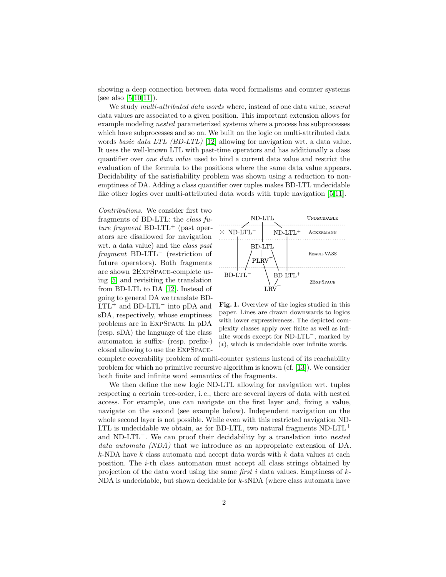showing a deep connection between data word formalisms and counter systems (see also [\[5](#page-16-2)[,10,](#page-16-7)[11\]](#page-16-8)).

We study *multi-attributed data words* where, instead of one data value, *several* data values are associated to a given position. This important extension allows for example modeling nested parameterized systems where a process has subprocesses which have subprocesses and so on. We built on the logic on multi-attributed data words basic data LTL (BD-LTL) [\[12\]](#page-16-9) allowing for navigation wrt. a data value. It uses the well-known LTL with past-time operators and has additionally a class quantifier over one data value used to bind a current data value and restrict the evaluation of the formula to the positions where the same data value appears. Decidability of the satisfiability problem was shown using a reduction to nonemptiness of DA. Adding a class quantifier over tuples makes BD-LTL undecidable like other logics over multi-attributed data words with tuple navigation [\[5,](#page-16-2)[11\]](#page-16-8).

Contributions. We consider first two fragments of BD-LTL: the class future fragment BD-LTL<sup>+</sup> (past operators are disallowed for navigation wrt. a data value) and the class past fragment BD-LTL<sup>−</sup> (restriction of future operators). Both fragments are shown 2ExpSpace-complete using [\[5\]](#page-16-2) and revisiting the translation from BD-LTL to DA [\[12\]](#page-16-9). Instead of going to general DA we translate BD-LTL<sup>+</sup> and BD-LTL<sup>−</sup> into pDA and sDA, respectively, whose emptiness problems are in ExpSpace. In pDA (resp. sDA) the language of the class automaton is suffix- (resp. prefix-) closed allowing to use the ExpSpace-



<span id="page-1-0"></span>Fig. 1. Overview of the logics studied in this paper. Lines are drawn downwards to logics with lower expressiveness. The depicted complexity classes apply over finite as well as infinite words except for ND-LTL<sup>−</sup>, marked by (∗), which is undecidable over infinite words.

complete coverability problem of multi-counter systems instead of its reachability problem for which no primitive recursive algorithm is known (cf. [\[13\]](#page-16-10)). We consider both finite and infinite word semantics of the fragments.

We then define the new logic ND-LTL allowing for navigation wrt. tuples respecting a certain tree-order, i. e., there are several layers of data with nested access. For example, one can navigate on the first layer and, fixing a value, navigate on the second (see example below). Independent navigation on the whole second layer is not possible. While even with this restricted navigation ND-LTL is undecidable we obtain, as for BD-LTL, two natural fragments  $ND-LTL^+$ and ND-LTL<sup>−</sup>. We can proof their decidability by a translation into nested data automata (NDA) that we introduce as an appropriate extension of DA.  $k$ -NDA have k class automata and accept data words with k data values at each position. The  $i$ -th class automaton must accept all class strings obtained by projection of the data word using the same first i data values. Emptiness of  $k$ -NDA is undecidable, but shown decidable for  $k$ -sNDA (where class automata have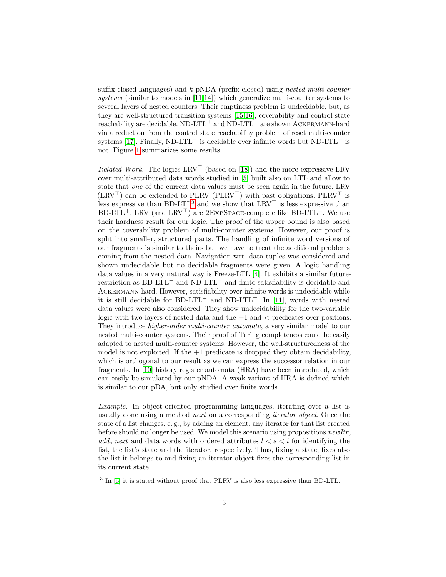suffix-closed languages) and k-pNDA (prefix-closed) using nested multi-counter systems (similar to models in  $[11,14]$  $[11,14]$ ) which generalize multi-counter systems to several layers of nested counters. Their emptiness problem is undecidable, but, as they are well-structured transition systems [\[15,](#page-16-12)[16\]](#page-16-13), coverability and control state reachability are decidable. ND-LTL<sup>+</sup> and ND-LTL<sup>−</sup> are shown Ackermann-hard via a reduction from the control state reachability problem of reset multi-counter systems [\[17\]](#page-16-14). Finally, ND-LTL<sup>+</sup> is decidable over infinite words but ND-LTL<sup> $-$ </sup> is not. Figure [1](#page-1-0) summarizes some results.

*Related Work.* The logics  $LRV^{\top}$  (based on [\[18\]](#page-16-15)) and the more expressive LRV over multi-attributed data words studied in [\[5\]](#page-16-2) built also on LTL and allow to state that one of the current data values must be seen again in the future. LRV  $(LRV^{\top})$  can be extended to PLRV (PLRV<sup>T</sup>) with past obligations. PLRV<sup>T</sup> is less expressive than BD-LTL<sup>[3](#page-2-0)</sup> and we show that  $LRV^{\top}$  is less expressive than BD-LTL<sup>+</sup>. LRV (and LRV<sup>T</sup>) are 2EXPSPACE-complete like BD-LTL<sup>+</sup>. We use their hardness result for our logic. The proof of the upper bound is also based on the coverability problem of multi-counter systems. However, our proof is split into smaller, structured parts. The handling of infinite word versions of our fragments is similar to theirs but we have to treat the additional problems coming from the nested data. Navigation wrt. data tuples was considered and shown undecidable but no decidable fragments were given. A logic handling data values in a very natural way is Freeze-LTL [\[4\]](#page-16-1). It exhibits a similar futurerestriction as BD-LTL<sup>+</sup> and ND-LTL<sup>+</sup> and finite satisfiability is decidable and Ackermann-hard. However, satisfiability over infinite words is undecidable while it is still decidable for BD-LTL<sup>+</sup> and ND-LTL<sup>+</sup>. In [\[11\]](#page-16-8), words with nested data values were also considered. They show undecidability for the two-variable logic with two layers of nested data and the  $+1$  and  $\lt$  predicates over positions. They introduce higher-order multi-counter automata, a very similar model to our nested multi-counter systems. Their proof of Turing completeness could be easily adapted to nested multi-counter systems. However, the well-structuredness of the model is not exploited. If the  $+1$  predicate is dropped they obtain decidability, which is orthogonal to our result as we can express the successor relation in our fragments. In [\[10\]](#page-16-7) history register automata (HRA) have been introduced, which can easily be simulated by our pNDA. A weak variant of HRA is defined which is similar to our pDA, but only studied over finite words.

Example. In object-oriented programming languages, iterating over a list is usually done using a method next on a corresponding iterator object. Once the state of a list changes, e. g., by adding an element, any iterator for that list created before should no longer be used. We model this scenario using propositions *newItr*, add, next and data words with ordered attributes  $l < s < i$  for identifying the list, the list's state and the iterator, respectively. Thus, fixing a state, fixes also the list it belongs to and fixing an iterator object fixes the corresponding list in its current state.

<span id="page-2-0"></span><sup>&</sup>lt;sup>3</sup> In [\[5\]](#page-16-2) it is stated without proof that PLRV is also less expressive than BD-LTL.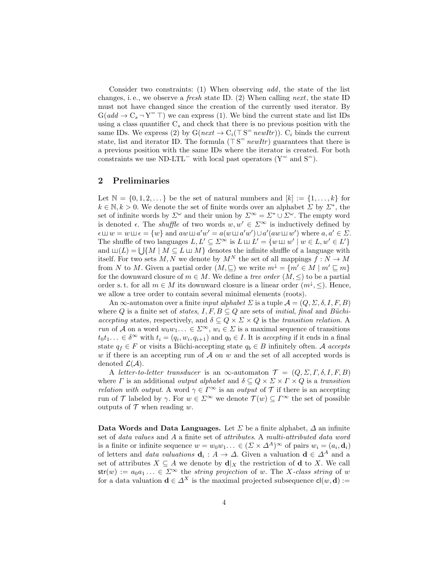Consider two constraints: (1) When observing add, the state of the list changes, i.e., we observe a *fresh* state ID. (2) When calling *next*, the state ID must not have changed since the creation of the currently used iterator. By  $G(add \to C_s \to Y^= \top)$  we can express (1). We bind the current state and list IDs using a class quantifier  $C_s$  and check that there is no previous position with the same IDs. We express (2) by  $G(next \to C_i(\top S^= newItr))$ .  $C_i$  binds the current state, list and iterator ID. The formula  $(\top S^= \textit{newItr})$  guarantees that there is a previous position with the same IDs where the iterator is created. For both constraints we use ND-LTL<sup>-</sup> with local past operators ( $Y^=$  and  $S^=$ ).

### 2 Preliminaries

Let  $\mathbb{N} = \{0, 1, 2, \dots\}$  be the set of natural numbers and  $[k] := \{1, \dots, k\}$  for  $k \in \mathbb{N}, k > 0$ . We denote the set of finite words over an alphabet  $\Sigma$  by  $\Sigma^*$ , the set of infinite words by  $\Sigma^{\omega}$  and their union by  $\Sigma^{\infty} = \Sigma^* \cup \Sigma^{\omega}$ . The empty word is denoted  $\epsilon$ . The *shuffle* of two words  $w, w' \in \Sigma^{\infty}$  is inductively defined by  $\epsilon \sqcup w = w \sqcup \epsilon = \{w\}$  and  $aw \sqcup a'w' = a(w \sqcup a'w') \cup a'(aw \sqcup w')$  where  $a, a' \in \Sigma$ . The shuffle of two languages  $L, L' \subseteq \Sigma^{\infty}$  is  $L \sqcup L' = \{w \sqcup w' \mid w \in L, w' \in L'\}$ and  $\Box(L) = \bigcup \{M \mid M \subseteq L \sqcup M\}$  denotes the infinite shuffle of a language with itself. For two sets M, N we denote by  $M^N$  the set of all mappings  $f: N \to M$ from N to M. Given a partial order  $(M, \subseteq)$  we write  $m^{\downarrow} = \{m' \in M \mid m' \subseteq m\}$ for the downward closure of  $m \in M$ . We define a tree order  $(M, \leq)$  to be a partial order s.t. for all  $m \in M$  its downward closure is a linear order  $(m^{\downarrow}, \leq)$ . Hence, we allow a tree order to contain several minimal elements (roots).

An  $\infty$ -automaton over a finite *input alphabet*  $\Sigma$  is a tuple  $\mathcal{A} = (Q, \Sigma, \delta, I, F, B)$ where Q is a finite set of states,  $I, F, B \subseteq Q$  are sets of *initial*, final and Büchiaccepting states, respectively, and  $\delta \subseteq Q \times \Sigma \times Q$  is the transition relation. A run of  $\mathcal A$  on a word  $w_0w_1\ldots \in \mathbb{Z}^\infty$ ,  $w_i \in \mathcal D$  is a maximal sequence of transitions  $t_0t_1... \in \delta^{\infty}$  with  $t_i = (q_i, w_i, q_{i+1})$  and  $q_0 \in I$ . It is accepting if it ends in a final state  $q_f \in F$  or visits a Büchi-accepting state  $q_b \in B$  infinitely often. A accepts w if there is an accepting run of  $A$  on w and the set of all accepted words is denoted  $\mathcal{L}(\mathcal{A})$ .

A letter-to-letter transducer is an  $\infty$ -automaton  $\mathcal{T} = (Q, \Sigma, \Gamma, \delta, I, F, B)$ where  $\Gamma$  is an additional *output alphabet* and  $\delta \subseteq Q \times \Sigma \times \Gamma \times Q$  is a transition *relation with output.* A word  $\gamma \in \Gamma^\infty$  is an *output* of  $\mathcal T$  if there is an accepting run of T labeled by  $\gamma$ . For  $w \in \Sigma^{\infty}$  we denote  $\mathcal{T}(w) \subseteq \Gamma^{\infty}$  the set of possible outputs of  $\mathcal T$  when reading w.

Data Words and Data Languages. Let  $\Sigma$  be a finite alphabet,  $\Delta$  an infinite set of data values and A a finite set of attributes. A multi-attributed data word is a finite or infinite sequence  $w = w_0w_1... \in (\Sigma \times \Delta^A)^{\infty}$  of pairs  $w_i = (a_i, \mathbf{d}_i)$ of letters and *data valuations*  $\mathbf{d}_i : A \to \Delta$ . Given a valuation  $\mathbf{d} \in \Delta^A$  and a set of attributes  $X \subseteq A$  we denote by  $\mathbf{d}|_X$  the restriction of d to X. We call  $str(w) := a_0 a_1 \ldots \in \Sigma^{\infty}$  the *string projection* of w. The X-class string of w for a data valuation  $\mathbf{d} \in \Delta^X$  is the maximal projected subsequence  $\mathsf{cl}(w, \mathbf{d}) :=$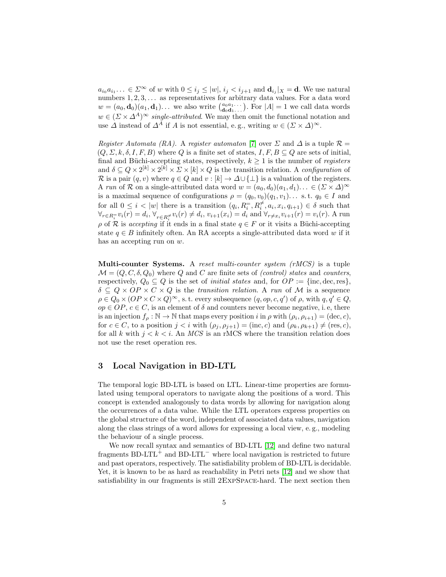$a_{i_0}a_{i_1} \ldots \in \Sigma^{\infty}$  of w with  $0 \leq i_j \leq |w|, i_j < i_{j+1}$  and  $\mathbf{d}_{i_j}|_X = \mathbf{d}$ . We use natural numbers  $1, 2, 3, \ldots$  as representatives for arbitrary data values. For a data word  $w = (a_0, \mathbf{d}_0)(a_1, \mathbf{d}_1) \dots$  we also write  $\begin{pmatrix} a_0 a_1 \dots \\ \mathbf{d}_0 \mathbf{d}_1 \dots \end{pmatrix}$ . For  $|A| = 1$  we call data words  $w \in (\Sigma \times \Delta^A)^{\infty}$  single-attributed. We may then omit the functional notation and use  $\Delta$  instead of  $\Delta^A$  if A is not essential, e.g., writing  $w \in (\Sigma \times \Delta)^\infty$ .

Register Automata (RA). A register automator [\[7\]](#page-16-4) over  $\Sigma$  and  $\Delta$  is a tuple  $\mathcal{R} =$  $(Q, \Sigma, k, \delta, I, F, B)$  where Q is a finite set of states,  $I, F, B \subseteq Q$  are sets of initial, final and Büchi-accepting states, respectively,  $k \geq 1$  is the number of *registers* and  $\delta \subseteq Q \times 2^{[k]} \times 2^{[k]} \times \Sigma \times [k] \times Q$  is the transition relation. A configuration of R is a pair  $(q, v)$  where  $q \in Q$  and  $v : [k] \to \Delta \cup \{\perp\}$  is a valuation of the registers. A run of R on a single-attributed data word  $w = (a_0, d_0)(a_1, d_1) \dots \in (\Sigma \times \Delta)^{\infty}$ is a maximal sequence of configurations  $\rho = (q_0, v_0)(q_1, v_1) \dots$  s.t.  $q_0 \in I$  and for all  $0 \leq i < |w|$  there is a transition  $(q_i, R_i^{\pm}, R_i^{\neq}, a_i, x_i, q_{i+1}) \in \delta$  such that  $\forall_{r \in R_i^{\pm}} v_i(r) = d_i, \forall_{r \in R_i^{\neq}} v_i(r) \neq d_i, v_{i+1}(x_i) = d_i \text{ and } \forall_{r \neq x_i} v_{i+1}(r) = v_i(r)$ . A run  $ρ$  of R is accepting if it ends in a final state  $q ∈ F$  or it visits a Büchi-accepting state  $q \in B$  infinitely often. An RA accepts a single-attributed data word w if it has an accepting run on w.

Multi-counter Systems. A reset multi-counter system (rMCS) is a tuple  $\mathcal{M} = (Q, C, \delta, Q_0)$  where Q and C are finite sets of *(control) states* and *counters*, respectively,  $Q_0 \subseteq Q$  is the set of *initial states* and, for  $OP := \{inc, dec, res\}$ ,  $\delta \subseteq Q \times OP \times C \times Q$  is the transition relation. A run of M is a sequence  $\rho \in Q_0 \times (OP \times C \times Q)^\infty$ , s.t. every subsequence  $(q, op, c, q')$  of  $\rho$ , with  $q, q' \in Q$ ,  $op \in OP, c \in C$ , is an element of  $\delta$  and counters never become negative, i.e., there is an injection  $f_{\rho} : \mathbb{N} \to \mathbb{N}$  that maps every position i in  $\rho$  with  $(\rho_i, \rho_{i+1}) = (\text{dec}, c)$ , for  $c \in C$ , to a position  $j < i$  with  $(\rho_j, \rho_{j+1}) = (\text{inc}, c)$  and  $(\rho_k, \rho_{k+1}) \neq (\text{res}, c)$ , for all k with  $j < k < i$ . An MCS is an rMCS where the transition relation does not use the reset operation res.

### 3 Local Navigation in BD-LTL

The temporal logic BD-LTL is based on LTL. Linear-time properties are formulated using temporal operators to navigate along the positions of a word. This concept is extended analogously to data words by allowing for navigation along the occurrences of a data value. While the LTL operators express properties on the global structure of the word, independent of associated data values, navigation along the class strings of a word allows for expressing a local view, e. g., modeling the behaviour of a single process.

We now recall syntax and semantics of BD-LTL [\[12\]](#page-16-9) and define two natural fragments BD-LTL<sup>+</sup> and BD-LTL<sup>-</sup> where local navigation is restricted to future and past operators, respectively. The satisfiability problem of BD-LTL is decidable. Yet, it is known to be as hard as reachability in Petri nets [\[12\]](#page-16-9) and we show that satisfiability in our fragments is still 2ExpSpace-hard. The next section then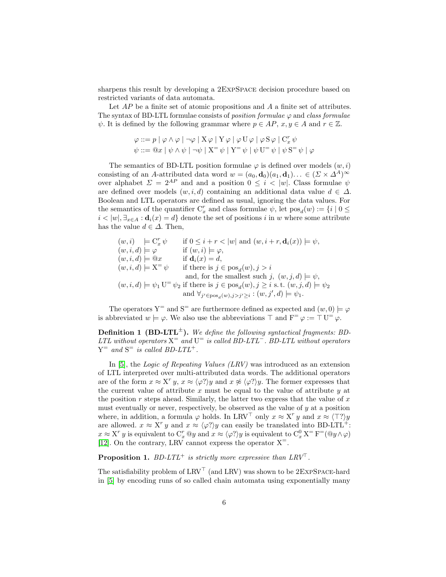sharpens this result by developing a 2ExpSpace decision procedure based on restricted variants of data automata.

Let AP be a finite set of atomic propositions and A a finite set of attributes. The syntax of BD-LTL formulae consists of *position formulae*  $\varphi$  and *class formulae*  $\psi$ . It is defined by the following grammar where  $p \in AP$ ,  $x, y \in A$  and  $r \in \mathbb{Z}$ .

$$
\varphi ::= p | \varphi \land \varphi | \neg \varphi | X \varphi | Y \varphi | \varphi U \varphi | \varphi S \varphi | C_x^r \psi
$$
  

$$
\psi ::= \mathcal{Q}x | \psi \land \psi | \neg \psi | X^{\equiv} \psi | Y^{\equiv} \psi | \psi U^{\equiv} \psi | \psi S^{\equiv} \psi | \varphi
$$

The semantics of BD-LTL position formulae  $\varphi$  is defined over models  $(w, i)$ consisting of an A-attributed data word  $w = (a_0, \mathbf{d}_0)(a_1, \mathbf{d}_1) \dots \in (\Sigma \times \Lambda^A)^{\infty}$ over alphabet  $\Sigma = 2^{AP}$  and and a position  $0 \le i \le |w|$ . Class formulae  $\psi$ are defined over models  $(w, i, d)$  containing an additional data value  $d \in \Delta$ . Boolean and LTL operators are defined as usual, ignoring the data values. For the semantics of the quantifier  $C_x^r$  and class formulae  $\psi$ , let  $pos_d(w) := \{i \mid 0 \leq$  $i < |w|, \exists_{x \in A} : \mathbf{d}_i(x) = d$  denote the set of positions i in w where some attribute has the value  $d \in \Delta$ . Then,

$$
(w, i) \models \mathcal{C}_x^r \psi \quad \text{if } 0 \leq i + r < |w| \text{ and } (w, i + r, \mathbf{d}_i(x)) \models \psi,
$$
\n
$$
(w, i, d) \models \varphi \quad \text{if } (w, i) \models \varphi,
$$
\n
$$
(w, i, d) \models \mathcal{Q}x \quad \text{if } \mathbf{d}_i(x) = d,
$$
\n
$$
(w, i, d) \models \mathbf{X}^= \psi \quad \text{if there is } j \in \text{pos}_d(w), j > i
$$
\n
$$
(w, i, d) \models \psi_1 \mathbf{U}^= \psi_2 \text{ if there is } j \in \text{pos}_d(w), j \geq i \text{ s.t. } (w, j, d) \models \psi_2
$$
\n
$$
\text{and } \forall_{j' \in \text{pos}_d(w), j > j' \geq i} : (w, j', d) \models \psi_1.
$$

The operators  $Y^=$  and  $S^-$  are furthermore defined as expected and  $(w, 0) \models \varphi$ is abbreviated  $w \models \varphi$ . We also use the abbreviations  $\top$  and  $F^{\equiv} \varphi := \top U^{\equiv} \varphi$ .

**Definition 1 (BD-LTL<sup>** $\pm$ **</sup>).** We define the following syntactical fragments: BD-LTL without operators  $X^=$  and  $U^-$  is called BD-LTL<sup>-</sup>. BD-LTL without operators  $Y^=$  and  $S^-$  is called BD-LTL<sup>+</sup>.

In [\[5\]](#page-16-2), the *Logic of Repeating Values (LRV)* was introduced as an extension of LTL interpreted over multi-attributed data words. The additional operators are of the form  $x \approx X^r y$ ,  $x \approx \langle \varphi? \rangle y$  and  $x \not\approx \langle \varphi? \rangle y$ . The former expresses that the current value of attribute x must be equal to the value of attribute  $y$  at the position r steps ahead. Similarly, the latter two express that the value of  $x$ must eventually or never, respectively, be observed as the value of  $y$  at a position where, in addition, a formula  $\varphi$  holds. In LRV<sup>T</sup> only  $x \approx X^r y$  and  $x \approx \langle \top ? \rangle y$ are allowed.  $x \approx X^r y$  and  $x \approx \langle \varphi^2 \rangle y$  can easily be translated into BD-LTL<sup>+</sup>:  $x \approx X^r y$  is equivalent to  $C_x^r @y$  and  $x \approx \langle \varphi ? \rangle y$  is equivalent to  $C_x^0 X^= F^= @y \wedge \varphi$ [\[12\]](#page-16-9). On the contrary, LRV cannot express the operator  $X^=$ .

**Proposition 1.** BD-LTL<sup>+</sup> is strictly more expressive than  $LRV^{\top}$ .

The satisfiability problem of  $\text{LRV}^\top$  (and  $\text{LRV})$  was shown to be 2ExpSpace-hard in [\[5\]](#page-16-2) by encoding runs of so called chain automata using exponentially many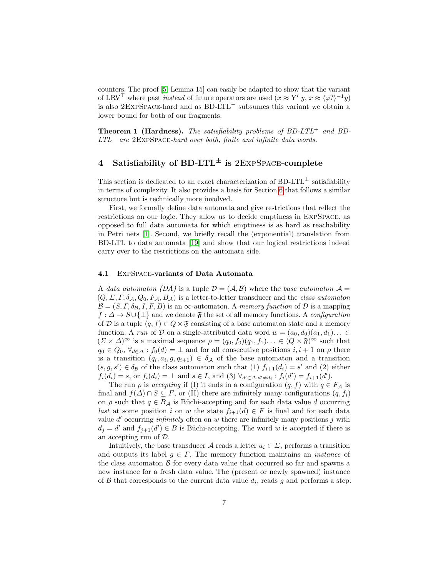counters. The proof [\[5,](#page-16-2) Lemma 15] can easily be adapted to show that the variant of LRV<sup>T</sup> where past *instead* of future operators are used  $(x \approx Y^r y, x \approx \langle \varphi \rangle)^{-1} y$ is also 2ExpSpace-hard and as BD-LTL<sup>−</sup> subsumes this variant we obtain a lower bound for both of our fragments.

**Theorem 1 (Hardness).** The satisfiability problems of  $BD-LTL^+$  and  $BD$ - $LTL<sup>-</sup>$  are 2EXPSPACE-hard over both, finite and infinite data words.

# <span id="page-6-0"></span>4 Satisfiability of BD-LTL<sup> $\pm$ </sup> is 2EXPSPACE-complete

This section is dedicated to an exact characterization of BD-LTL<sup> $\pm$ </sup> satisfiability in terms of complexity. It also provides a basis for Section [6](#page-11-0) that follows a similar structure but is technically more involved.

First, we formally define data automata and give restrictions that reflect the restrictions on our logic. They allow us to decide emptiness in ExpSpace, as opposed to full data automata for which emptiness is as hard as reachability in Petri nets [\[1\]](#page-15-0). Second, we briefly recall the (exponential) translation from BD-LTL to data automata [\[19\]](#page-16-16) and show that our logical restrictions indeed carry over to the restrictions on the automata side.

#### 4.1 ExpSpace-variants of Data Automata

A data automaton (DA) is a tuple  $\mathcal{D} = (\mathcal{A}, \mathcal{B})$  where the base automaton  $\mathcal{A} =$  $(Q, \Sigma, \Gamma, \delta_{\mathcal{A}}, Q_0, F_{\mathcal{A}}, B_{\mathcal{A}})$  is a letter-to-letter transducer and the *class automaton*  $\mathcal{B} = (S, \Gamma, \delta_{\mathcal{B}}, I, F, B)$  is an  $\infty$ -automaton. A *memory function* of  $\mathcal{D}$  is a mapping  $f: \Delta \to S \cup \{\perp\}$  and we denote  $\mathfrak F$  the set of all memory functions. A configuration of D is a tuple  $(q, f) \in Q \times \mathfrak{F}$  consisting of a base automaton state and a memory function. A run of D on a single-attributed data word  $w = (a_0, d_0)(a_1, d_1) \dots \in$  $(\Sigma \times \Delta)^\infty$  is a maximal sequence  $\rho = (q_0, f_0)(q_1, f_1) \dots \in (Q \times \mathfrak{F})^\infty$  such that  $q_0 \in Q_0$ ,  $\forall_{d \in \Delta} : f_0(d) = \bot$  and for all consecutive positions  $i, i+1$  on  $\rho$  there is a transition  $(q_i, a_i, g, q_{i+1}) \in \delta_{\mathcal{A}}$  of the base automaton and a transition  $(s, g, s') \in \delta_{\mathcal{B}}$  of the class automaton such that (1)  $f_{i+1}(d_i) = s'$  and (2) either  $f_i(d_i) = s$ , or  $f_i(d_i) = \perp$  and  $s \in I$ , and (3)  $\forall_{d' \in \Delta, d' \neq d_i} : f_i(d') = f_{i+1}(d').$ 

The run  $\rho$  is accepting if (I) it ends in a configuration  $(q, f)$  with  $q \in F_A$  is final and  $f(\Delta) \cap S \subseteq F$ , or (II) there are infinitely many configurations  $(q, f_i)$ on  $\rho$  such that  $q \in B_{\mathcal{A}}$  is Büchi-accepting and for each data value d occurring last at some position i on w the state  $f_{i+1}(d) \in F$  is final and for each data value  $d'$  occurring *infinitely* often on  $w$  there are infinitely many positions  $j$  with  $d_j = d'$  and  $f_{j+1}(d') \in B$  is Büchi-accepting. The word w is accepted if there is an accepting run of D.

Intuitively, the base transducer A reads a letter  $a_i \in \Sigma$ , performs a transition and outputs its label  $g \in \Gamma$ . The memory function maintains an *instance* of the class automaton  $\beta$  for every data value that occurred so far and spawns a new instance for a fresh data value. The (present or newly spawned) instance of  $\beta$  that corresponds to the current data value  $d_i$ , reads g and performs a step.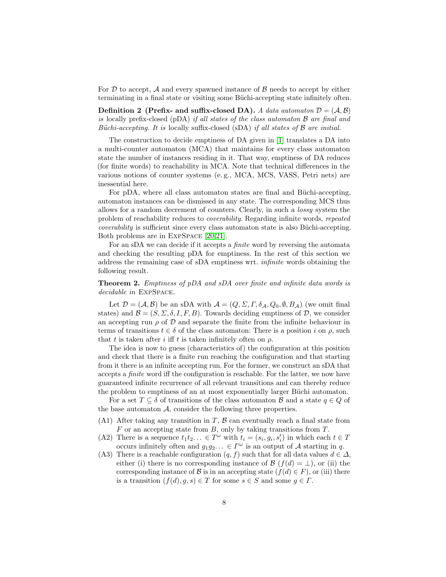For  $D$  to accept,  $\mathcal A$  and every spawned instance of  $\mathcal B$  needs to accept by either terminating in a final state or visiting some Büchi-accepting state infinitely often.

**Definition 2** (Prefix- and suffix-closed DA). A data automaton  $\mathcal{D} = (\mathcal{A}, \mathcal{B})$ is locally prefix-closed (pDA) if all states of the class automaton  $\beta$  are final and Büchi-accepting. It is locally suffix-closed (sDA) if all states of  $\beta$  are initial.

The construction to decide emptiness of DA given in [\[1\]](#page-15-0) translates a DA into a multi-counter automaton (MCA) that maintains for every class automaton state the number of instances residing in it. That way, emptiness of DA reduces (for finite words) to reachability in MCA. Note that technical differences in the various notions of counter systems (e. g., MCA, MCS, VASS, Petri nets) are inessential here.

For pDA, where all class automaton states are final and Büchi-accepting, automaton instances can be dismissed in any state. The corresponding MCS thus allows for a random decrement of counters. Clearly, in such a lossy system the problem of reachability reduces to coverability. Regarding infinite words, repeated coverability is sufficient since every class automaton state is also Büchi-accepting. Both problems are in ExpSpace [\[20,](#page-16-17)[21\]](#page-16-18).

For an sDA we can decide if it accepts a finite word by reversing the automata and checking the resulting pDA for emptiness. In the rest of this section we address the remaining case of sDA emptiness wrt. infinite words obtaining the following result.

<span id="page-7-0"></span>Theorem 2. Emptiness of pDA and sDA over finite and infinite data words is decidable in ExpSpace.

Let  $\mathcal{D} = (\mathcal{A}, \mathcal{B})$  be an sDA with  $\mathcal{A} = (Q, \Sigma, \Gamma, \delta_{\mathcal{A}}, Q_0, \emptyset, B_{\mathcal{A}})$  (we omit final states) and  $\mathcal{B} = (S, \Sigma, \delta, I, F, B)$ . Towards deciding emptiness of  $\mathcal{D}$ , we consider an accepting run  $\rho$  of  $\mathcal D$  and separate the finite from the infinite behaviour in terms of transitions  $t \in \delta$  of the class automaton: There is a position i on  $\rho$ , such that t is taken after i iff t is taken infinitely often on  $\rho$ .

The idea is now to guess (characteristics of) the configuration at this position and check that there is a finite run reaching the configuration and that starting from it there is an infinite accepting run. For the former, we construct an sDA that accepts a finite word iff the configuration is reachable. For the latter, we now have guaranteed infinite recurrence of all relevant transitions and can thereby reduce the problem to emptiness of an at most exponentially larger Büchi automaton.

For a set  $T \subseteq \delta$  of transitions of the class automaton  $\mathcal B$  and a state  $q \in Q$  of the base automaton  $A$ , consider the following three properties.

- (A1) After taking any transition in  $T$ ,  $\beta$  can eventually reach a final state from  $F$  or an accepting state from  $B$ , only by taking transitions from  $T$ .
- (A2) There is a sequence  $t_1t_2... \in T^{\omega}$  with  $t_i = (s_i, g_i, s'_i)$  in which each  $t \in T$ occurs infinitely often and  $g_1g_2... \in \Gamma^\omega$  is an output of A starting in q.
- (A3) There is a reachable configuration  $(q, f)$  such that for all data values  $d \in \Delta$ , either (i) there is no corresponding instance of  $\mathcal{B}$  ( $f(d) = \perp$ ), or (ii) the corresponding instance of B is in an accepting state  $(f(d) \in F)$ , or (iii) there is a transition  $(f(d), g, s) \in T$  for some  $s \in S$  and some  $g \in \Gamma$ .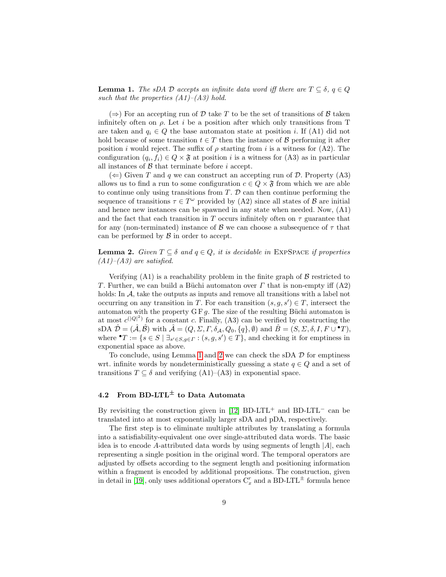<span id="page-8-0"></span>**Lemma 1.** The sDA D accepts an infinite data word iff there are  $T \subseteq \delta$ ,  $q \in Q$ such that the properties  $(A1)$ – $(A3)$  hold.

 $(\Rightarrow)$  For an accepting run of D take T to be the set of transitions of B taken infinitely often on  $\rho$ . Let i be a position after which only transitions from T are taken and  $q_i \in Q$  the base automaton state at position *i*. If (A1) did not hold because of some transition  $t \in T$  then the instance of B performing it after position *i* would reject. The suffix of  $\rho$  starting from *i* is a witness for (A2). The configuration  $(q_i, f_i) \in Q \times \mathfrak{F}$  at position i is a witness for  $(A3)$  as in particular all instances of  $\beta$  that terminate before i accept.

 $(\Leftarrow)$  Given T and q we can construct an accepting run of D. Property (A3) allows us to find a run to some configuration  $c \in Q \times \mathfrak{F}$  from which we are able to continue only using transitions from  $T$ .  $D$  can then continue performing the sequence of transitions  $\tau \in T^{\omega}$  provided by (A2) since all states of  $\mathcal{B}$  are initial and hence new instances can be spawned in any state when needed. Now, (A1) and the fact that each transition in T occurs infinitely often on  $\tau$  guarantee that for any (non-terminated) instance of B we can choose a subsequence of  $\tau$  that can be performed by  $\beta$  in order to accept.

<span id="page-8-1"></span>**Lemma 2.** Given  $T \subseteq \delta$  and  $q \in Q$ , it is decidable in EXPSPACE if properties  $(A1)$ – $(A3)$  are satisfied.

Verifying  $(A1)$  is a reachability problem in the finite graph of  $\beta$  restricted to T. Further, we can build a Büchi automaton over  $\Gamma$  that is non-empty iff  $(A2)$ holds: In A, take the outputs as inputs and remove all transitions with a label not occurring on any transition in T. For each transition  $(s, g, s') \in T$ , intersect the automaton with the property  $GF g$ . The size of the resulting Büchi automaton is at most  $c^{(|Q|^2)}$  for a constant c. Finally, (A3) can be verified by constructing the  $\text{sDA }\hat{\mathcal{D}}=(\hat{\mathcal{A}},\hat{\mathcal{B}}) \text{ with } \hat{\mathcal{A}}=(Q,\Sigma,\varGamma,\delta_{\mathcal{A}},Q_0,\{q\},\emptyset) \text{ and } \hat{B}=(S,\Sigma,\delta,I,F\cup{}^{\bullet}T),$ where  $^{\bullet}T := \{ s \in S \mid \exists_{s' \in S, g \in \Gamma} : (s, g, s') \in T \}$ , and checking it for emptiness in exponential space as above.

To conclude, using Lemma [1](#page-8-0) and [2](#page-8-1) we can check the sDA  $\mathcal{D}$  for emptiness wrt. infinite words by nondeterministically guessing a state  $q \in Q$  and a set of transitions  $T \subseteq \delta$  and verifying  $(A1)$ – $(A3)$  in exponential space.

# <span id="page-8-2"></span>4.2 From BD-LTL<sup> $\pm$ </sup> to Data Automata

By revisiting the construction given in [\[12\]](#page-16-9) BD-LTL<sup>+</sup> and BD-LTL<sup>-</sup> can be translated into at most exponentially larger sDA and pDA, respectively.

The first step is to eliminate multiple attributes by translating a formula into a satisfiability-equivalent one over single-attributed data words. The basic idea is to encode A-attributed data words by using segments of length  $|A|$ , each representing a single position in the original word. The temporal operators are adjusted by offsets according to the segment length and positioning information within a fragment is encoded by additional propositions. The construction, given in detail in [\[19\]](#page-16-16), only uses additional operators  $C_x^r$  and a BD-LTL<sup> $\pm$ </sup> formula hence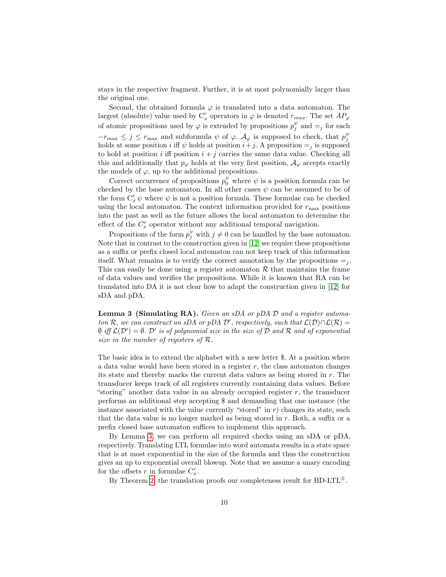stays in the respective fragment. Further, it is at most polynomially larger than the original one.

Second, the obtained formula  $\varphi$  is translated into a data automaton. The largest (absolute) value used by  $C_x^r$  operators in  $\varphi$  is denoted  $r_{max}$ . The set  $AP_{\varphi}$ of atomic propositions used by  $\varphi$  is extended by propositions  $p_j^{\psi}$  and  $=$  for each  $-r_{\text{max}} \leq j \leq r_{\text{max}}$  and subformula  $\psi$  of  $\varphi$ .  $\mathcal{A}_{\varphi}$  is supposed to check, that  $p_j^{\psi}$ holds at some position i iff  $\psi$  holds at position  $i+j$ . A proposition  $=$ <sub>i</sub> is supposed to hold at position i iff position  $i + j$  carries the same data value. Checking all this and additionally that  $p_{\varphi}$  holds at the very first position,  $\mathcal{A}_{\varphi}$  accepts exactly the models of  $\varphi$ , up to the additional propositions.

Correct occurrence of propositions  $p_0^{\psi}$  where  $\psi$  is a position formula can be checked by the base automaton. In all other cases  $\psi$  can be assumed to be of the form  $C_x^r \psi$  where  $\psi$  is not a position formula. These formulae can be checked using the local automaton. The context information provided for  $r_{\text{max}}$  positions into the past as well as the future allows the local automaton to determine the effect of the  $C_x^r$  operator without any additional temporal navigation.

Propositions of the form  $p_j^{\psi}$  with  $j \neq 0$  can be handled by the base automaton. Note that in contrast to the construction given in [\[12\]](#page-16-9) we require these propositions as a suffix or prefix closed local automaton can not keep track of this information itself. What remains is to verify the correct annotation by the propositions  $=$ <sub>i</sub>. This can easily be done using a register automaton  $R$  that maintains the frame of data values and verifies the propositions. While it is known that RA can be translated into DA it is not clear how to adapt the construction given in [\[12\]](#page-16-9) for sDA and pDA.

<span id="page-9-0"></span>**Lemma 3 (Simulating RA).** Given an sDA or pDA  $\mathcal{D}$  and a register automaton R, we can construct an sDA or pDA D', respectively, such that  $\mathcal{L}(\mathcal{D}) \cap \mathcal{L}(\mathcal{R}) =$  $\emptyset$  iff  $\mathcal{L}(\mathcal{D}') = \emptyset$ .  $\mathcal{D}'$  is of polynomial size in the size of  $\mathcal D$  and  $\mathcal R$  and of exponential size in the number of registers of R.

The basic idea is to extend the alphabet with a new letter \$. At a position where a data value would have been stored in a register  $r$ , the class automaton changes its state and thereby marks the current data values as being stored in r. The transducer keeps track of all registers currently containing data values. Before "storing" another data value in an already occupied register  $r$ , the transducer performs an additional step accepting \$ and demanding that one instance (the instance associated with the value currently "stored" in  $r$ ) changes its state, such that the data value is no longer marked as being stored in r. Both, a suffix or a prefix closed base automaton suffices to implement this approach.

By Lemma [3,](#page-9-0) we can perform all required checks using an sDA or pDA, respectively. Translating LTL formulae into word automata results in a state space that is at most exponential in the size of the formula and thus the construction gives an up to exponential overall blowup. Note that we assume a unary encoding for the offsets r in formulae  $C_x^r$ .

By Theorem [2,](#page-7-0) the translation proofs our completeness result for BD-LTL<sup> $\pm$ </sup>.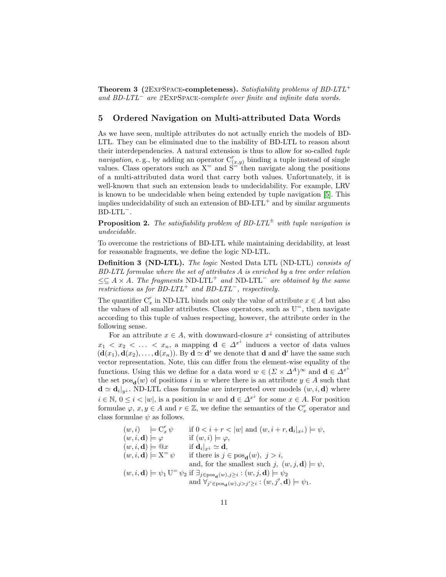**Theorem 3** (2EXPSPACE-completeness). Satisfiability problems of  $BD-LTL^+$ and BD-LTL<sup>−</sup> are 2ExpSpace-complete over finite and infinite data words.

## 5 Ordered Navigation on Multi-attributed Data Words

As we have seen, multiple attributes do not actually enrich the models of BD-LTL. They can be eliminated due to the inability of BD-LTL to reason about their interdependencies. A natural extension is thus to allow for so-called tuple navigation, e.g., by adding an operator  $C^r_{(x,y)}$  binding a tuple instead of single values. Class operators such as  $X^=$  and  $S^{\equiv}$  then navigate along the positions of a multi-attributed data word that carry both values. Unfortunately, it is well-known that such an extension leads to undecidability. For example, LRV is known to be undecidable when being extended by tuple navigation [\[5\]](#page-16-2). This implies undecidability of such an extension of  $BD-LTL^+$  and by similar arguments BD-LTL<sup>−</sup>.

<span id="page-10-0"></span>**Proposition 2.** The satisfiability problem of BD-LTL<sup> $\pm$ </sup> with tuple navigation is undecidable.

To overcome the restrictions of BD-LTL while maintaining decidability, at least for reasonable fragments, we define the logic ND-LTL.

Definition 3 (ND-LTL). The logic Nested Data LTL (ND-LTL) consists of BD-LTL formulae where the set of attributes A is enriched by a tree order relation  $\leq \leq A \times A$ . The fragments ND-LTL<sup>+</sup> and ND-LTL<sup>-</sup> are obtained by the same restrictions as for BD-LTL<sup>+</sup> and BD-LTL<sup>-</sup>, respectively.

The quantifier  $C_x^r$  in ND-LTL binds not only the value of attribute  $x \in A$  but also the values of all smaller attributes. Class operators, such as  $U^=$ , then navigate according to this tuple of values respecting, however, the attribute order in the following sense.

For an attribute  $x \in A$ , with downward-closure  $x^{\downarrow}$  consisting of attributes  $x_1 \leq x_2 \leq \ldots \leq x_n$ , a mapping  $\mathbf{d} \in \Delta^{x^{\downarrow}}$  induces a vector of data values  $(d(x_1), d(x_2), \ldots, d(x_n))$ . By  $d \simeq d'$  we denote that d and d' have the same such vector representation. Note, this can differ from the element-wise equality of the functions. Using this we define for a data word  $w \in (\Sigma \times \Delta^A)^{\infty}$  and  $\mathbf{d} \in \Delta^{x^{\downarrow}}$ the set  $pos_{d}(w)$  of positions i in w where there is an attribute  $y \in A$  such that  $\mathbf{d} \simeq \mathbf{d}_i|_{y^{\downarrow}}$ . ND-LTL class formulae are interpreted over models  $(w, i, \mathbf{d})$  where  $i \in \mathbb{N}, 0 \leq i < |w|$ , is a position in w and  $\mathbf{d} \in \Delta^{x^{\downarrow}}$  for some  $x \in A$ . For position formulae  $\varphi, x, y \in A$  and  $r \in \mathbb{Z}$ , we define the semantics of the  $C_x^r$  operator and class formulae  $\psi$  as follows.

$$
(w, i) \models \mathcal{C}_x^r \psi \quad \text{if } 0 < i + r < |w| \text{ and } (w, i + r, \mathbf{d}_i|_{x^{\perp}}) \models \psi,
$$
\n
$$
(w, i, \mathbf{d}) \models \varphi \quad \text{if } (w, i) \models \varphi,
$$
\n
$$
(w, i, \mathbf{d}) \models \mathcal{Q}x \quad \text{if } \mathbf{d}_i|_{x^{\perp}} \simeq \mathbf{d},
$$
\n
$$
(w, i, \mathbf{d}) \models \mathbf{X}^{\equiv} \psi \quad \text{if there is } j \in \text{pos}_{\mathbf{d}}(w), j > i,
$$
\n
$$
(w, i, \mathbf{d}) \models \psi_1 \mathbf{U}^{\equiv} \psi_2 \text{ if } \exists_{j \in \text{pos}_{\mathbf{d}}(w), j \geq i} : (w, j, \mathbf{d}) \models \psi_2
$$
\n
$$
\text{and } \forall_{j' \in \text{pos}_{\mathbf{d}}(w), j > j' \geq i} : (w, j', \mathbf{d}) \models \psi_1.
$$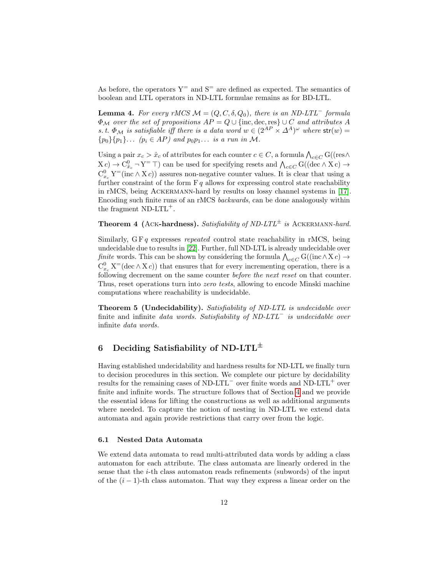As before, the operators  $Y =$  and  $S =$  are defined as expected. The semantics of boolean and LTL operators in ND-LTL formulae remains as for BD-LTL.

<span id="page-11-1"></span>**Lemma 4.** For every rMCS  $M = (Q, C, \delta, Q_0)$ , there is an ND-LTL<sup>-</sup> formula  $\Phi_{\mathcal{M}}$  over the set of propositions  $AP = Q \cup \{\text{inc}, \text{dec}, \text{res}\} \cup C$  and attributes A s. t.  $\Phi_{\mathcal{M}}$  is satisfiable iff there is a data word  $w \in (2^{AP} \times \Delta^A)^{\omega}$  where  $str(w)$  =  ${p_0}{p_1}...$   $(p_i \in AP)$  and  $p_0p_1...$  is a run in M.

Using a pair  $x_c > \hat{x}_c$  of attributes for each counter  $c \in C$ , a formula  $\bigwedge_{c \in C} G((\text{res}\wedge$  $(X_c) \to C_{\hat{x}_c}^0 \to Y^= \top$ ) can be used for specifying resets and  $\bigwedge_{c \in C} G((\text{dec} \wedge X_c) \to Y^ C_{x_c}^0 Y$ <sup>=</sup>(inc  $\wedge X_c$ )) assures non-negative counter values. It is clear that using a further constraint of the form  $F q$  allows for expressing control state reachability in rMCS, being Ackermann-hard by results on lossy channel systems in [\[17\]](#page-16-14). Encoding such finite runs of an rMCS backwards, can be done analogously within the fragment ND-LTL+.

**Theorem 4 (ACK-hardness).** Satisfiability of ND-LTL<sup> $\pm$ </sup> is ACKERMANN-hard.

Similarly,  $GF q$  expresses *repeated* control state reachability in rMCS, being undecidable due to results in [\[22\]](#page-16-19). Further, full ND-LTL is already undecidable over finite words. This can be shown by considering the formula  $\bigwedge_{c \in C} G((\text{inc} \wedge X c) \to$  $C_{x_c}^0$  X<sup>=</sup>(dec  $\wedge$  X *c*)) that ensures that for every incrementing operation, there is a following decrement on the same counter before the next reset on that counter. Thus, reset operations turn into zero tests, allowing to encode Minski machine computations where reachability is undecidable.

Theorem 5 (Undecidability). Satisfiability of ND-LTL is undecidable over finite and infinite data words. Satisfiability of ND-LTL<sup>−</sup> is undecidable over infinite data words.

# <span id="page-11-0"></span>6 Deciding Satisfiability of ND-LTL<sup> $\pm$ </sup>

Having established undecidability and hardness results for ND-LTL we finally turn to decision procedures in this section. We complete our picture by decidability results for the remaining cases of ND-LTL<sup> $-$ </sup> over finite words and ND-LTL<sup> $+$ </sup> over finite and infinite words. The structure follows that of Section [4](#page-6-0) and we provide the essential ideas for lifting the constructions as well as additional arguments where needed. To capture the notion of nesting in ND-LTL we extend data automata and again provide restrictions that carry over from the logic.

#### 6.1 Nested Data Automata

We extend data automata to read multi-attributed data words by adding a class automaton for each attribute. The class automata are linearly ordered in the sense that the *i*-th class automaton reads refinements (subwords) of the input of the  $(i - 1)$ -th class automaton. That way they express a linear order on the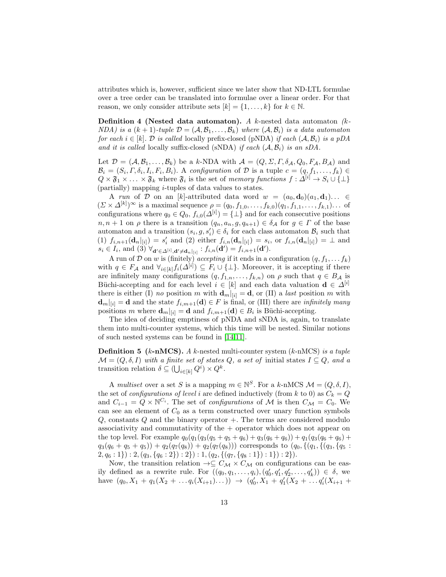attributes which is, however, sufficient since we later show that ND-LTL formulae over a tree order can be translated into formulae over a linear order. For that reason, we only consider attribute sets  $[k] = \{1, \ldots, k\}$  for  $k \in \mathbb{N}$ .

**Definition 4** (Nested data automaton). A k-nested data automaton  $(k-$ NDA) is a  $(k + 1)$ -tuple  $\mathcal{D} = (\mathcal{A}, \mathcal{B}_1, \ldots, \mathcal{B}_k)$  where  $(\mathcal{A}, \mathcal{B}_i)$  is a data automaton for each  $i \in [k]$ . D is called locally prefix-closed (pNDA) if each  $(A, \mathcal{B}_i)$  is a pDA and it is called locally suffix-closed (sNDA) if each  $(A, \mathcal{B}_i)$  is an sDA.

Let  $\mathcal{D} = (\mathcal{A}, \mathcal{B}_1, \dots, \mathcal{B}_k)$  be a k-NDA with  $\mathcal{A} = (Q, \Sigma, \Gamma, \delta_{\mathcal{A}}, Q_0, F_{\mathcal{A}}, B_{\mathcal{A}})$  and  $\mathcal{B}_i = (S_i, \Gamma, \delta_i, I_i, F_i, B_i)$ . A configuration of  $\mathcal{D}$  is a tuple  $c = (q, f_1, \ldots, f_k) \in$  $Q \times \mathfrak{F}_1 \times \ldots \times \mathfrak{F}_k$  where  $\mathfrak{F}_i$  is the set of memory functions  $f: \Delta^{[i]} \to S_i \cup \{\perp\}$ (partially) mapping i-tuples of data values to states.

A run of D on an [k]-attributed data word  $w = (a_0, \mathbf{d}_0)(a_1, \mathbf{d}_1) \dots$  $(\Sigma \times \Delta^{[k]})^{\infty}$  is a maximal sequence  $\rho = (q_0, f_{1,0}, \ldots, f_{k,0})(q_1, f_{1,1}, \ldots, f_{k,1}) \ldots$  of configurations where  $q_0 \in Q_0$ ,  $f_{i,0}(\Delta^{[i]}) = \{\perp\}$  and for each consecutive positions  $n, n + 1$  on  $\rho$  there is a transition  $(q_n, a_n, g, q_{n+1}) \in \delta_{\mathcal{A}}$  for  $g \in \Gamma$  of the base automaton and a transition  $(s_i, g, s'_i) \in \delta_i$  for each class automaton  $\mathcal{B}_i$  such that (1)  $f_{i,n+1}(\mathbf{d}_n|_{[i]}) = s'_i$  and (2) either  $f_{i,n}(\mathbf{d}_n|_{[i]}) = s_i$ , or  $f_{i,n}(\mathbf{d}_n|_{[i]}) = \perp$  and  $s_i \in I_i$ , and  $(3) \forall_{\mathbf{d}' \in \Delta^{[i]}, \mathbf{d}' \neq \mathbf{d}_n |_{[i]}} : f_{i,n}(\mathbf{d}') = f_{i,n+1}(\mathbf{d}').$ 

A run of D on w is (finitely) accepting if it ends in a configuration  $(q, f_1, \ldots, f_k)$ with  $q \in F_{\mathcal{A}}$  and  $\forall_{i \in [k]} f_i(\Delta^{[i]}) \subseteq F_i \cup \{\perp\}$ . Moreover, it is accepting if there are infinitely many configurations  $(q, f_{1,n}, \ldots, f_{k,n})$  on  $\rho$  such that  $q \in B_{\mathcal{A}}$  is Büchi-accepting and for each level  $i \in [k]$  and each data valuation  $\mathbf{d} \in \Delta^{[i]}$ there is either (I) no position m with  $\mathbf{d}_m|_{[i]} = \mathbf{d}$ , or (II) a *last* position m with  $\mathbf{d}_m|_{[i]} = \mathbf{d}$  and the state  $f_{i,m+1}(\mathbf{d}) \in F$  is final, or (III) there are *infinitely many* positions m where  $\mathbf{d}_m|_{[i]} = \mathbf{d}$  and  $f_{i,m+1}(\mathbf{d}) \in B_i$  is Büchi-accepting.

The idea of deciding emptiness of pNDA and sNDA is, again, to translate them into multi-counter systems, which this time will be nested. Similar notions of such nested systems can be found in [\[14,](#page-16-11)[11\]](#page-16-8).

**Definition 5** ( $k$ -nMCS). A k-nested multi-counter system ( $k$ -nMCS) is a tuple  $\mathcal{M} = (Q, \delta, I)$  with a finite set of states Q, a set of initial states  $I \subseteq Q$ , and a transition relation  $\delta \subseteq (\bigcup_{i \in [k]} Q^i) \times Q^k$ .

A multiset over a set S is a mapping  $m \in \mathbb{N}^S$ . For a k-nMCS  $\mathcal{M} = (Q, \delta, I)$ , the set of *configurations of level i* are defined inductively (from k to 0) as  $C_k = Q$ and  $C_{i-1} = Q \times \mathbb{N}^{C_i}$ . The set of *configurations* of M is then  $C_{\mathcal{M}} = C_0$ . We can see an element of  $C_0$  as a term constructed over unary function symbols  $Q$ , constants  $Q$  and the binary operator  $+$ . The terms are considered modulo associativity and commutativity of the  $+$  operator which does not appear on the top level. For example  $q_0(q_1(q_3(q_5+q_5+q_6)+q_3(q_6+q_6))+q_1(q_3(q_6+q_6)+q_6))$  $q_3(q_6+q_5+q_5)+q_2(q_7(q_8))+q_2(q_7(q_8)))$  corresponds to  $(q_0, \{(q_1, \{(q_3, \{q_5\}$  $2, q_6 : 1\}$  :  $2, (q_3, \{q_6 : 2\}) : 2, (q_2, \{(q_7, \{q_8 : 1\}) : 1\}) : 2\}).$ 

Now, the transition relation  $\rightarrow \subseteq C_{\mathcal{M}} \times C_{\mathcal{M}}$  on configurations can be easily defined as a rewrite rule. For  $((q_0, q_1, \ldots, q_i), (q'_0, q'_1, q'_2, \ldots, q'_k)) \in \delta$ , we have  $(q_0, X_1 + q_1(X_2 + \ldots q_i(X_{i+1})\ldots)) \rightarrow (q'_0, X_1 + q'_1(X_2 + \ldots q'_i(X_{i+1} +$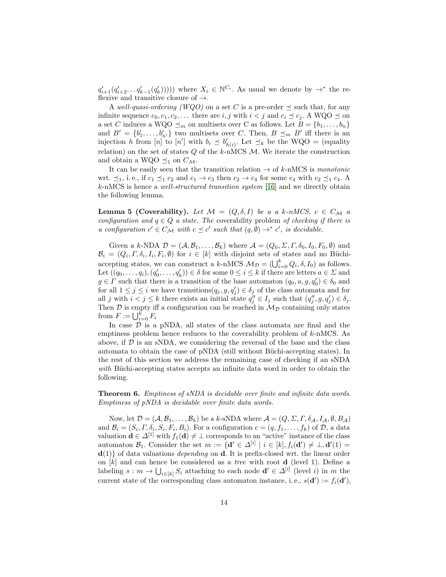$q'_{i+1}(q'_{i+2}\ldots q'_{k-1}(q'_{k}))))$  where  $X_i \in \mathbb{N}^{C_i}$ . As usual we denote by  $\rightarrow^*$  the reflexive and transitive closure of  $\rightarrow$ .

A well-quasi-ordering (WQO) on a set C is a pre-order  $\preceq$  such that, for any infinite sequence  $c_0, c_1, c_2, \ldots$  there are i, j with  $i < j$  and  $c_i \preceq c_j$ . A WQO  $\preceq$  on a set C induces a WQO  $\preceq_m$  on multisets over C as follows. Let  $B = \{b_1, \ldots, b_n\}$ and  $B' = \{b'_1, \ldots, b'_{n'}\}$  two multisets over C. Then,  $B \preceq_m B'$  iff there is an injection h from [n] to [n'] with  $b_i \preceq b'_{h(i)}$ . Let  $\preceq_k$  be the WQO = (equality relation) on the set of states  $Q$  of the  $k$ -nMCS  $M$ . We iterate the construction and obtain a WQO  $\preceq_1$  on  $C_{\mathcal{M}}$ .

It can be easily seen that the transition relation  $\rightarrow$  of k-nMCS is monotonic wrt.  $\preceq_1$ , i. e., if  $c_1 \preceq_1 c_2$  and  $c_1 \to c_3$  then  $c_2 \to c_4$  for some  $c_4$  with  $c_2 \preceq_1 c_4$ . A k-nMCS is hence a well-structured transition system [\[16\]](#page-16-13) and we directly obtain the following lemma.

**Lemma 5 (Coverability).** Let  $\mathcal{M} = (Q, \delta, I)$  be a a k-nMCS,  $c \in C_{\mathcal{M}}$  a configuration and  $q \in Q$  a state. The coverability problem of checking if there is a configuration  $c' \in C_{\mathcal{M}}$  with  $c \preceq c'$  such that  $(q, \emptyset) \rightarrow^* c'$ , is decidable.

Given a k-NDA  $\mathcal{D} = (\mathcal{A}, \mathcal{B}_1, \dots, \mathcal{B}_k)$  where  $\mathcal{A} = (Q_0, \Sigma, \Gamma, \delta_0, I_0, F_0, \emptyset)$  and  $\mathcal{B}_i = (Q_i, \Gamma, \delta_i, I_i, F_i, \emptyset)$  for  $i \in [k]$  with disjoint sets of states and no Büchiaccepting states, we can construct a k-nMCS  $\mathcal{M}_{\mathcal{D}} = (\bigcup_{i=0}^{k} Q_i, \delta, I_0)$  as follows. Let  $((q_0, \ldots, q_i), (q'_0, \ldots, q'_k)) \in \delta$  for some  $0 \le i \le k$  if there are letters  $a \in \Sigma$  and  $g \in \Gamma$  such that there is a transition of the base automaton  $(q_0, a, g, q'_0) \in \delta_0$  and for all  $1 \leq j \leq i$  we have transitions  $(q_j, g, q'_j) \in \delta_j$  of the class automata and for all j with  $i < j \leq k$  there exists an initial state  $q''_j \in I_j$  such that  $(q''_j, g, q'_j) \in \delta_j$ . Then  $\mathcal D$  is empty iff a configuration can be reached in  $\mathcal M_{\mathcal D}$  containing only states from  $F := \bigcup_{i=0}^k F_i$ 

In case  $D$  is a pNDA, all states of the class automata are final and the emptiness problem hence reduces to the coverability problem of k-nMCS. As above, if  $\mathcal D$  is an sNDA, we considering the reversal of the base and the class automata to obtain the case of pNDA (still without Büchi-accepting states). In the rest of this section we address the remaining case of checking if an sNDA with Büchi-accepting states accepts an infinite data word in order to obtain the following.

<span id="page-13-0"></span>Theorem 6. Emptiness of sNDA is decidable over finite and infinite data words. Emptiness of pNDA is decidable over finite data words.

Now, let  $\mathcal{D} = (\mathcal{A}, \mathcal{B}_1, \dots, \mathcal{B}_k)$  be a k-sNDA where  $\mathcal{A} = (Q, \Sigma, \Gamma, \delta_{\mathcal{A}}, I_{\mathcal{A}}, \emptyset, B_{\mathcal{A}})$ and  $\mathcal{B}_i = (S_i, \Gamma, \delta_i, S_i, F_i, B_i)$ . For a configuration  $c = (q, f_1, \ldots, f_k)$  of  $\mathcal{D}$ , a data valuation  $\mathbf{d} \in \Delta^{[1]}$  with  $f_1(\mathbf{d}) \neq \bot$  corresponds to an "active" instance of the class automaton  $\mathcal{B}_1$ . Consider the set  $m := \{ \mathbf{d}' \in \Delta^{[i]} \mid i \in [k], f_i(\mathbf{d}') \neq \bot, \mathbf{d}'(1) = \emptyset \}$  $d(1)$  of data valuations *depending* on d. It is prefix-closed wrt. the linear order on  $[k]$  and can hence be considered as a *tree* with root **d** (level 1). Define a labeling  $s : m \to \bigcup_{i \in [k]} S_i$  attaching to each node  $\mathbf{d}' \in \Delta^{[i]}$  (level i) in m the current state of the corresponding class automaton instance, i.e.,  $s(\mathbf{d}') := f_i(\mathbf{d}'),$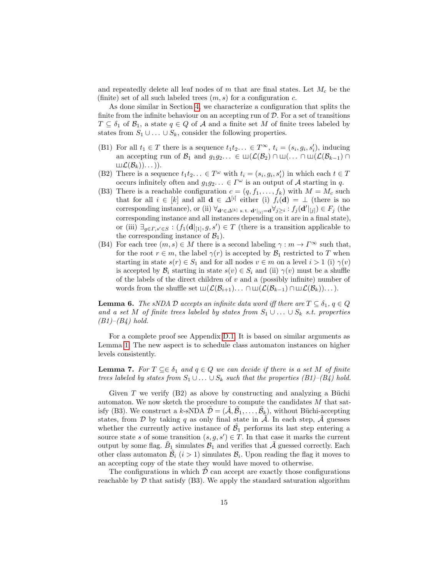and repeatedly delete all leaf nodes of  $m$  that are final states. Let  $M_c$  be the (finite) set of all such labeled trees  $(m, s)$  for a configuration c.

As done similar in Section [4,](#page-6-0) we characterize a configuration that splits the finite from the infinite behaviour on an accepting run of  $D$ . For a set of transitions  $T \subseteq \delta_1$  of  $\mathcal{B}_1$ , a state  $q \in Q$  of A and a finite set M of finite trees labeled by states from  $S_1 \cup \ldots \cup S_k$ , consider the following properties.

- (B1) For all  $t_1 \in T$  there is a sequence  $t_1 t_2 \dots \in T^{\infty}$ ,  $t_i = (s_i, g_i, s'_i)$ , inducing an accepting run of  $\mathcal{B}_1$  and  $g_1g_2... \in \Box(\mathcal{L}(\mathcal{B}_2) \cap \Box(\ldots \cap \Box(\mathcal{L}(\mathcal{B}_{k-1}) \cap \Box))$  $L(\mathcal{B}_k))\dots$ )).
- (B2) There is a sequence  $t_1t_2... \in T^{\omega}$  with  $t_i = (s_i, g_i, s'_i)$  in which each  $t \in T$ occurs infinitely often and  $g_1g_2... \in \Gamma^\omega$  is an output of A starting in q.
- (B3) There is a reachable configuration  $c = (q, f_1, \ldots, f_k)$  with  $M = M_c$  such that for all  $i \in [k]$  and all  $\mathbf{d} \in \Delta^{[i]}$  either (i)  $f_i(\mathbf{d}) = \bot$  (there is no corresponding instance), or (ii)  $\forall_{\mathbf{d}' \in \Delta^{[k]} \text{ s.t. } \mathbf{d}'|_{[i]} = \mathbf{d}} \forall_{j \geq i} : f_j(\mathbf{d}'|_{[j]}) \in F_j \text{ (the }$ corresponding instance and all instances depending on it are in a final state), or (iii)  $\exists_{g \in \Gamma, s' \in S} : (f_1(\mathbf{d}|_{[1]}, g, s') \in T$  (there is a transition applicable to the corresponding instance of  $\mathcal{B}_1$ ).
- (B4) For each tree  $(m, s) \in M$  there is a second labeling  $\gamma : m \to \Gamma^{\infty}$  such that, for the root  $r \in m$ , the label  $\gamma(r)$  is accepted by  $\mathcal{B}_1$  restricted to T when starting in state  $s(r) \in S_1$  and for all nodes  $v \in m$  on a level  $i > 1$  (i)  $\gamma(v)$ is accepted by  $\mathcal{B}_i$  starting in state  $s(v) \in S_i$  and (ii)  $\gamma(v)$  must be a shuffle of the labels of the direct children of  $v$  and a (possibly infinite) number of words from the shuffle set  $\Box(\mathcal{L}(\mathcal{B}_{i+1})\ldots \cap \Box(\mathcal{L}(\mathcal{B}_{k-1})\cap \Box \mathcal{L}(\mathcal{B}_{k}))\ldots).$

<span id="page-14-0"></span>**Lemma 6.** The sNDA D accepts an infinite data word iff there are  $T \subseteq \delta_1$ ,  $q \in Q$ and a set M of finite trees labeled by states from  $S_1 \cup \ldots \cup S_k$  s.t. properties  $(B1)–(B4)$  hold.

For a complete proof see Appendix [D.1.](#page-20-0) It is based on similar arguments as Lemma [1.](#page-8-0) The new aspect is to schedule class automaton instances on higher levels consistently.

**Lemma 7.** For  $T \subseteq \in \delta_1$  and  $q \in Q$  we can decide if there is a set M of finite trees labeled by states from  $S_1 \cup \ldots \cup S_k$  such that the properties (B1)–(B4) hold.

Given  $T$  we verify  $(B2)$  as above by constructing and analyzing a Büchi automaton. We now sketch the procedure to compute the candidates  $M$  that satisfy (B3). We construct a k-sNDA  $\tilde{\mathcal{D}} = (\tilde{\mathcal{A}}, \tilde{\mathcal{B}}_1, \ldots, \tilde{\mathcal{B}}_k)$ , without Büchi-accepting states, from  $\mathcal D$  by taking q as only final state in  $\mathcal A$ . In each step,  $\mathcal A$  guesses whether the currently active instance of  $\tilde{B_1}$  performs its last step entering a source state s of some transition  $(s, g, s') \in T$ . In that case it marks the current output by some flag.  $\tilde{B}_1$  simulates  $\tilde{B}_1$  and verifies that  $\tilde{\mathcal{A}}$  guessed correctly. Each other class automaton  $\tilde{\mathcal{B}}_i$  ( $i > 1$ ) simulates  $\mathcal{B}_i$ . Upon reading the flag it moves to an accepting copy of the state they would have moved to otherwise.

The configurations in which  $D$  can accept are exactly those configurations reachable by  $D$  that satisfy  $(B3)$ . We apply the standard saturation algorithm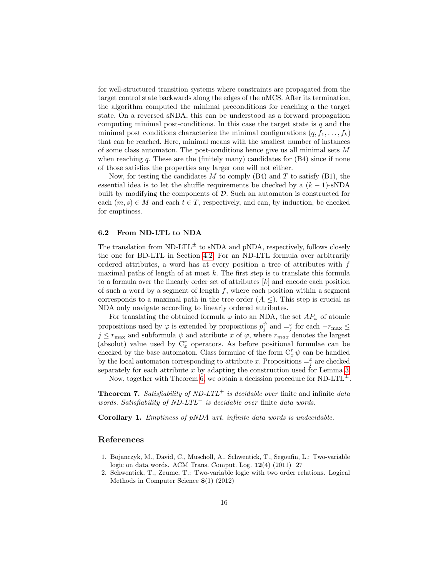for well-structured transition systems where constraints are propagated from the target control state backwards along the edges of the nMCS. After its termination, the algorithm computed the minimal preconditions for reaching a the target state. On a reversed sNDA, this can be understood as a forward propagation computing minimal post-conditions. In this case the target state is  $q$  and the minimal post conditions characterize the minimal configurations  $(q, f_1, \ldots, f_k)$ that can be reached. Here, minimal means with the smallest number of instances of some class automaton. The post-conditions hence give us all minimal sets  $M$ when reaching q. These are the (finitely many) candidates for  $(B4)$  since if none of those satisfies the properties any larger one will not either.

Now, for testing the candidates  $M$  to comply (B4) and  $T$  to satisfy (B1), the essential idea is to let the shuffle requirements be checked by a  $(k-1)$ -sNDA built by modifying the components of D. Such an automaton is constructed for each  $(m, s) \in M$  and each  $t \in T$ , respectively, and can, by induction, be checked for emptiness.

#### 6.2 From ND-LTL to NDA

The translation from ND-LTL<sup> $\pm$ </sup> to sNDA and pNDA, respectively, follows closely the one for BD-LTL in Section [4.2.](#page-8-2) For an ND-LTL formula over arbitrarily ordered attributes, a word has at every position a tree of attributes with f maximal paths of length of at most  $k$ . The first step is to translate this formula to a formula over the linearly order set of attributes  $[k]$  and encode each position of such a word by a segment of length  $f$ , where each position within a segment corresponds to a maximal path in the tree order  $(A, \leq)$ . This step is crucial as NDA only navigate according to linearly ordered attributes.

For translating the obtained formula  $\varphi$  into an NDA, the set  $AP_{\varphi}$  of atomic propositions used by  $\varphi$  is extended by propositions  $p_j^{\psi}$  and  $=\stackrel{x}{j}$  for each  $-r_{\text{max}} \leq$  $j \leq r_{\text{max}}$  and subformula  $\psi$  and attribute x of  $\varphi$ , where  $r_{max}$  denotes the largest (absolut) value used by  $C_x^r$  operators. As before positional formulae can be checked by the base automaton. Class formulae of the form  $C_x^r \psi$  can be handled by the local automaton corresponding to attribute x. Propositions  $=\frac{x}{j}$  are checked separately for each attribute  $x$  by adapting the construction used for Lemma [3.](#page-9-0)

Now, together with Theorem [6,](#page-13-0) we obtain a decission procedure for  $ND-LTL^{\pm}$ .

**Theorem 7.** Satisfiability of ND-LTL<sup>+</sup> is decidable over finite and infinite data words. Satisfiability of ND-LTL<sup>−</sup> is decidable over finite data words.

Corollary 1. Emptiness of pNDA wrt. infinite data words is undecidable.

#### References

- <span id="page-15-0"></span>1. Bojanczyk, M., David, C., Muscholl, A., Schwentick, T., Segoufin, L.: Two-variable logic on data words. ACM Trans. Comput. Log. 12(4) (2011) 27
- <span id="page-15-1"></span>2. Schwentick, T., Zeume, T.: Two-variable logic with two order relations. Logical Methods in Computer Science 8(1) (2012)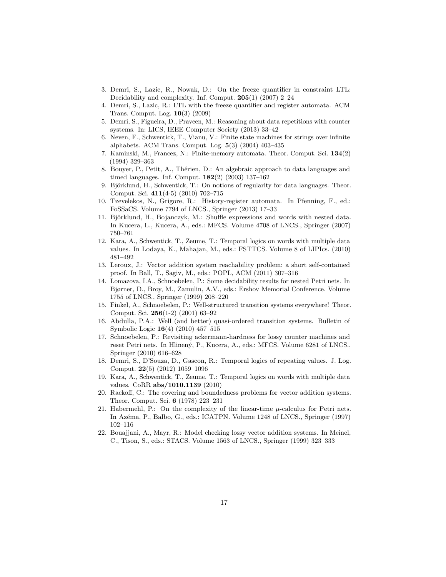- <span id="page-16-0"></span>3. Demri, S., Lazic, R., Nowak, D.: On the freeze quantifier in constraint LTL: Decidability and complexity. Inf. Comput. 205(1) (2007) 2–24
- <span id="page-16-1"></span>4. Demri, S., Lazic, R.: LTL with the freeze quantifier and register automata. ACM Trans. Comput. Log. 10(3) (2009)
- <span id="page-16-2"></span>5. Demri, S., Figueira, D., Praveen, M.: Reasoning about data repetitions with counter systems. In: LICS, IEEE Computer Society (2013) 33–42
- <span id="page-16-3"></span>6. Neven, F., Schwentick, T., Vianu, V.: Finite state machines for strings over infinite alphabets. ACM Trans. Comput. Log. 5(3) (2004) 403–435
- <span id="page-16-4"></span>7. Kaminski, M., Francez, N.: Finite-memory automata. Theor. Comput. Sci. 134(2) (1994) 329–363
- <span id="page-16-5"></span>8. Bouyer, P., Petit, A., Thérien, D.: An algebraic approach to data languages and timed languages. Inf. Comput. 182(2) (2003) 137–162
- <span id="page-16-6"></span>9. Björklund, H., Schwentick, T.: On notions of regularity for data languages. Theor. Comput. Sci. 411(4-5) (2010) 702–715
- <span id="page-16-7"></span>10. Tzevelekos, N., Grigore, R.: History-register automata. In Pfenning, F., ed.: FoSSaCS. Volume 7794 of LNCS., Springer (2013) 17–33
- <span id="page-16-8"></span>11. Björklund, H., Bojanczyk, M.: Shuffle expressions and words with nested data. In Kucera, L., Kucera, A., eds.: MFCS. Volume 4708 of LNCS., Springer (2007) 750–761
- <span id="page-16-9"></span>12. Kara, A., Schwentick, T., Zeume, T.: Temporal logics on words with multiple data values. In Lodaya, K., Mahajan, M., eds.: FSTTCS. Volume 8 of LIPIcs. (2010) 481–492
- <span id="page-16-10"></span>13. Leroux, J.: Vector addition system reachability problem: a short self-contained proof. In Ball, T., Sagiv, M., eds.: POPL, ACM (2011) 307–316
- <span id="page-16-11"></span>14. Lomazova, I.A., Schnoebelen, P.: Some decidability results for nested Petri nets. In Bjørner, D., Broy, M., Zamulin, A.V., eds.: Ershov Memorial Conference. Volume 1755 of LNCS., Springer (1999) 208–220
- <span id="page-16-12"></span>15. Finkel, A., Schnoebelen, P.: Well-structured transition systems everywhere! Theor. Comput. Sci. 256(1-2) (2001) 63–92
- <span id="page-16-13"></span>16. Abdulla, P.A.: Well (and better) quasi-ordered transition systems. Bulletin of Symbolic Logic 16(4) (2010) 457–515
- <span id="page-16-14"></span>17. Schnoebelen, P.: Revisiting ackermann-hardness for lossy counter machines and reset Petri nets. In Hlinený, P., Kucera, A., eds.: MFCS. Volume 6281 of LNCS., Springer (2010) 616–628
- <span id="page-16-15"></span>18. Demri, S., D'Souza, D., Gascon, R.: Temporal logics of repeating values. J. Log. Comput. 22(5) (2012) 1059–1096
- <span id="page-16-16"></span>19. Kara, A., Schwentick, T., Zeume, T.: Temporal logics on words with multiple data values. CoRR abs/1010.1139 (2010)
- <span id="page-16-17"></span>20. Rackoff, C.: The covering and boundedness problems for vector addition systems. Theor. Comput. Sci. 6 (1978) 223–231
- <span id="page-16-18"></span>21. Habermehl, P.: On the complexity of the linear-time  $\mu$ -calculus for Petri nets. In Azéma, P., Balbo, G., eds.: ICATPN. Volume 1248 of LNCS., Springer (1997) 102–116
- <span id="page-16-19"></span>22. Bouajjani, A., Mayr, R.: Model checking lossy vector addition systems. In Meinel, C., Tison, S., eds.: STACS. Volume 1563 of LNCS., Springer (1999) 323–333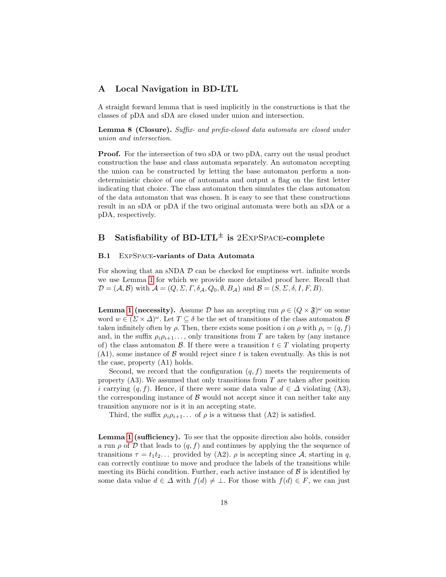## A Local Navigation in BD-LTL

A straight forward lemma that is used implicitly in the constructions is that the classes of pDA and sDA are closed under union and intersection.

**Lemma 8 (Closure).** Suffix- and prefix-closed data automata are closed under union and intersection.

**Proof.** For the intersection of two sDA or two pDA, carry out the usual product construction the base and class automata separately. An automaton accepting the union can be constructed by letting the base automaton perform a nondeterministic choice of one of automata and output a flag on the first letter indicating that choice. The class automaton then simulates the class automaton of the data automaton that was chosen. It is easy to see that these constructions result in an sDA or pDA if the two original automata were both an sDA or a pDA, respectively.

# B Satisfiability of BD-LTL<sup> $\pm$ </sup> is 2EXPSPACE-complete

#### B.1 ExpSpace-variants of Data Automata

For showing that an sNDA  $\mathcal D$  can be checked for emptiness wrt. infinite words we use Lemma [1](#page-8-0) for which we provide more detailed proof here. Recall that  $\mathcal{D} = (\mathcal{A}, \mathcal{B})$  with  $\mathcal{A} = (Q, \Sigma, \Gamma, \delta_{\mathcal{A}}, Q_0, \emptyset, B_{\mathcal{A}})$  and  $\mathcal{B} = (S, \Sigma, \delta, I, F, B)$ .

**Lemma [1](#page-8-0) (necessity).** Assume  $\mathcal{D}$  has an accepting run  $\rho \in (Q \times \mathfrak{F})^{\omega}$  on some word  $w \in (\Sigma \times \Delta)^{\omega}$ . Let  $T \subseteq \delta$  be the set of transitions of the class automaton  $\mathcal{B}$ taken infinitely often by  $\rho$ . Then, there exists some position i on  $\rho$  with  $\rho_i = (q, f)$ and, in the suffix  $\rho_i \rho_{i+1} \ldots$ , only transitions from T are taken by (any instance of) the class automaton B. If there were a transition  $t \in T$  violating property  $(A1)$ , some instance of B would reject since t is taken eventually. As this is not the case, property (A1) holds.

Second, we record that the configuration  $(q, f)$  meets the requirements of property  $(A3)$ . We assumed that only transitions from T are taken after position i carrying  $(q, f)$ . Hence, if there were some data value  $d \in \Delta$  violating (A3), the corresponding instance of  $\beta$  would not accept since it can neither take any transition anymore nor is it in an accepting state.

Third, the suffix  $\rho_i \rho_{i+1} \dots$  of  $\rho$  is a witness that (A2) is satisfied.

Lemma [1](#page-8-0) (sufficiency). To see that the opposite direction also holds, consider a run  $\rho$  of D that leads to  $(q, f)$  and continues by applying the the sequence of transitions  $\tau = t_1 t_2 \dots$  provided by (A2).  $\rho$  is accepting since A, starting in q. can correctly continue to move and produce the labels of the transitions while meeting its Büchi condition. Further, each active instance of  $\beta$  is identified by some data value  $d \in \Delta$  with  $f(d) \neq \bot$ . For those with  $f(d) \in F$ , we can just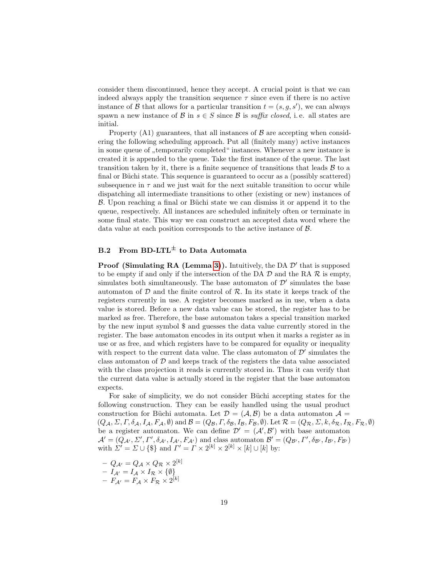consider them discontinued, hence they accept. A crucial point is that we can indeed always apply the transition sequence  $\tau$  since even if there is no active instance of  $\beta$  that allows for a particular transition  $t = (s, g, s')$ , we can always spawn a new instance of B in  $s \in S$  since B is suffix closed, i.e. all states are initial.

Property  $(A1)$  guarantees, that all instances of  $\beta$  are accepting when considering the following scheduling approach. Put all (finitely many) active instances in some queue of "temporarily completed" instances. Whenever a new instance is created it is appended to the queue. Take the first instance of the queue. The last transition taken by it, there is a finite sequence of transitions that leads  $B$  to a final or Büchi state. This sequence is guaranteed to occur as a (possibly scattered) subsequence in  $\tau$  and we just wait for the next suitable transition to occur while dispatching all intermediate transitions to other (existing or new) instances of  $B$ . Upon reaching a final or Büchi state we can dismiss it or append it to the queue, respectively. All instances are scheduled infinitely often or terminate in some final state. This way we can construct an accepted data word where the data value at each position corresponds to the active instance of B.

# B.2 From BD-LTL<sup> $\pm$ </sup> to Data Automata

**Proof (Simulating RA (Lemma [3\)](#page-9-0)).** Intuitively, the DA  $\mathcal{D}'$  that is supposed to be empty if and only if the intersection of the DA  $\mathcal D$  and the RA  $\mathcal R$  is empty, simulates both simultaneously. The base automaton of  $\mathcal{D}'$  simulates the base automaton of  $D$  and the finite control of  $R$ . In its state it keeps track of the registers currently in use. A register becomes marked as in use, when a data value is stored. Before a new data value can be stored, the register has to be marked as free. Therefore, the base automaton takes a special transition marked by the new input symbol \$ and guesses the data value currently stored in the register. The base automaton encodes in its output when it marks a register as in use or as free, and which registers have to be compared for equality or inequality with respect to the current data value. The class automaton of  $\mathcal{D}'$  simulates the class automaton of  $\mathcal D$  and keeps track of the registers the data value associated with the class projection it reads is currently stored in. Thus it can verify that the current data value is actually stored in the register that the base automaton expects.

For sake of simplicity, we do not consider Büchi accepting states for the following construction. They can be easily handled using the usual product construction for Büchi automata. Let  $\mathcal{D} = (\mathcal{A}, \mathcal{B})$  be a data automaton  $\mathcal{A} =$  $(Q_{\mathcal{A}}, \Sigma, \Gamma, \delta_{\mathcal{A}}, I_{\mathcal{A}}, F_{\mathcal{A}}, \emptyset)$  and  $\mathcal{B} = (Q_{\mathcal{B}}, \Gamma, \delta_{\mathcal{B}}, I_{\mathcal{B}}, F_{\mathcal{B}}, \emptyset)$ . Let  $\mathcal{R} = (Q_{\mathcal{R}}, \Sigma, k, \delta_{\mathcal{R}}, I_{\mathcal{R}}, F_{\mathcal{R}}, \emptyset)$ be a register automaton. We can define  $\mathcal{D}' = (\mathcal{A}', \mathcal{B}')$  with base automaton  $\mathcal{A}'=(Q_{\mathcal{A}'},\Sigma',\Gamma',\delta_{\mathcal{A}'},I_{\mathcal{A}'},F_{\mathcal{A}'})$  and class automaton  $\mathcal{B}'=(Q_{\mathcal{B}'},\Gamma',\delta_{\mathcal{B}'},I_{\mathcal{B}'},F_{\mathcal{B}'})$ with  $\Sigma' = \Sigma \cup {\{\$\}$  and  $\Gamma' = \Gamma \times 2^{[k]} \times 2^{[k]} \times [k] \cup [k]$  by:

 $-\,\,Q_{\mathcal{A}'}=Q_{\mathcal{A}}\times Q_{\mathcal{R}}\times 2^{[k]}$  $-\hspace{6pt}I_{{\cal A}'}=I_{{\cal A}}\times I_{{\cal R}}\times\{\emptyset\}$  $- \; F_{\mathcal{A}'} = F_{\mathcal{A}} \times F_{\mathcal{R}} \times 2^{[k]}$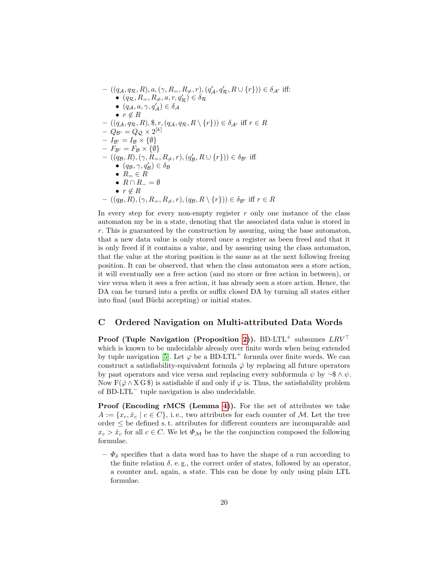$$
- ((q_{\mathcal{A}}, q_{\mathcal{R}}, R), a, (\gamma, R_{=}, R_{\neq}, r), (q'_{\mathcal{A}}, q'_{\mathcal{R}}, R \cup \{r\})) \in \delta_{\mathcal{A}'} \text{ iff:}
$$
  
\n•  $(q_{\mathcal{R}}, R_{=}, R_{\neq}, a, r, q'_{\mathcal{R}}) \in \delta_{\mathcal{R}}$   
\n•  $(q_{\mathcal{A}}, a, \gamma, q'_{\mathcal{A}}) \in \delta_{\mathcal{A}}$   
\n•  $r \notin R$   
\n–  $((q_{\mathcal{A}}, q_{\mathcal{R}}, R), \$, r, (q_{\mathcal{A}}, q_{\mathcal{R}}, R \setminus \{r\})) \in \delta_{\mathcal{A}'} \text{ iff } r \in R$   
\n–  $Q_{\mathcal{B}'} = Q_{\mathcal{Q}} \times 2^{[k]}$   
\n–  $I_{\mathcal{B}'} = I_{\mathcal{B}} \times \{\emptyset\}$   
\n–  $F_{\mathcal{B}'} = F_{\mathcal{B}} \times \{\emptyset\}$   
\n–  $((q_{\mathcal{B}}, R), (\gamma, R_{=}, R_{\neq}, r), (q'_{\mathcal{B}}, R \cup \{r\})) \in \delta_{\mathcal{B}'} \text{ iff}$   
\n•  $(q_{\mathcal{B}}, \gamma, q'_{\mathcal{B}}) \in \delta_{\mathcal{B}}$   
\n•  $R_{\mathcal{A}} \in R$   
\n•  $R \cap R_{-} = \emptyset$   
\n•  $r \notin R$   
\n–  $((q_{\mathcal{B}}, R), (\gamma, R_{=}, R_{\neq}, r), (q_{\mathcal{B}}, R \setminus \{r\})) \in \delta_{\mathcal{B}'} \text{ iff } r \in R$ 

In every step for every non-empty register  $r$  only one instance of the class automaton my be in a state, denoting that the associated data value is stored in r. This is guaranteed by the construction by assuring, using the base automaton, that a new data value is only stored once a register as been freed and that it is only freed if it contains a value, and by assuring using the class automaton, that the value at the storing position is the same as at the next following freeing position. It can be observed, that when the class automaton sees a store action, it will eventually see a free action (and no store or free action in between), or vice versa when it sees a free action, it has already seen a store action. Hence, the DA can be turned into a prefix or suffix closed DA by turning all states either into final (and Büchi accepting) or initial states.

## C Ordered Navigation on Multi-attributed Data Words

**Proof (Tuple Navigation (Proposition [2\)](#page-10-0)).** BD-LTL<sup>+</sup> subsumes  $LRV^{\top}$ which is known to be undecidable already over finite words when being extended by tuple navigation [\[5\]](#page-16-2). Let  $\varphi$  be a BD-LTL<sup>+</sup> formula over finite words. We can construct a satisfiability-equivalent formula  $\hat{\varphi}$  by replacing all future operators by past operators and vice versa and replacing every subformula  $\psi$  by  $\neg \mathcal{F} \wedge \psi$ . Now  $\mathbf{F}(\hat{\varphi} \wedge \mathbf{X} \mathbf{G}^*)$  is satisfiable if and only if  $\varphi$  is. Thus, the satisfiability problem of BD-LTL<sup>−</sup> tuple navigation is also undecidable.

Proof (Encoding rMCS (Lemma [4\)](#page-11-1)). For the set of attributes we take  $A := \{x_c, \hat{x}_c \mid c \in C\},\$ i.e., two attributes for each counter of M. Let the tree order  $\leq$  be defined s.t. attributes for different counters are incomparable and  $x_c > \hat{x}_c$  for all  $c \in C$ . We let  $\Phi_{\mathcal{M}}$  be the the conjunction composed the following formulae.

 $-\Phi_{\delta}$  specifies that a data word has to have the shape of a run according to the finite relation  $\delta$ , e.g., the correct order of states, followed by an operator, a counter and, again, a state. This can be done by only using plain LTL formulae.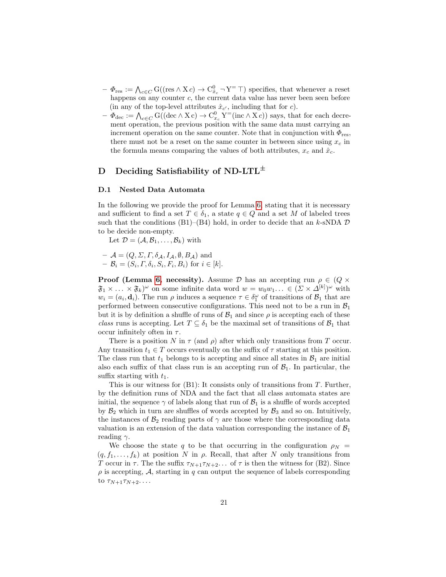- $\Phi_{\text{res}} := \bigwedge_{c \in C} G((\text{res} \wedge Xc) \rightarrow C_{\hat{x}_c}^0 \neg Y^= \top)$  specifies, that whenever a reset happens on any counter c, the current data value has never been seen before (in any of the top-level attributes  $\hat{x}_{c'}$ , including that for c).
- $-\Phi_{\text{dec}} := \bigwedge_{c \in C} G((\text{dec} \wedge Xc) \to C_{x_c}^0 Y^=(\text{inc} \wedge Xc))$  says, that for each decrement operation, the previous position with the same data must carrying an increment operation on the same counter. Note that in conjunction with  $\Phi_{\text{res}}$ , there must not be a reset on the same counter in between since using  $x_c$  in the formula means comparing the values of both attributes,  $x_c$  and  $\hat{x}_c$ .

## D Deciding Satisfiability of ND-LTL<sup> $\pm$ </sup>

#### <span id="page-20-0"></span>D.1 Nested Data Automata

In the following we provide the proof for Lemma [6,](#page-14-0) stating that it is necessary and sufficient to find a set  $T \in \delta_1$ , a state  $q \in Q$  and a set M of labeled trees such that the conditions (B1)–(B4) hold, in order to decide that an k-sNDA  $\mathcal D$ to be decide non-empty.

Let  $\mathcal{D} = (\mathcal{A}, \mathcal{B}_1, \ldots, \mathcal{B}_k)$  with

 $\mathcal{A} = (Q, \Sigma, \Gamma, \delta_{\mathcal{A}}, I_{\mathcal{A}}, \emptyset, B_{\mathcal{A}})$  and  $- \mathcal{B}_i = (S_i, \Gamma, \delta_i, S_i, F_i, B_i)$  for  $i \in [k]$ .

**Proof (Lemma [6,](#page-14-0) necessity).** Assume D has an accepting run  $\rho \in (Q \times$  $\mathfrak{F}_1 \times \ldots \times \mathfrak{F}_k^{\omega}$  on some infinite data word  $w = w_0 w_1 \ldots \in (\Sigma \times \Delta^{[k]})^{\omega}$  with  $w_i = (a_i, \mathbf{d}_i)$ . The run  $\rho$  induces a sequence  $\tau \in \delta_1^{\omega}$  of transitions of  $\mathcal{B}_1$  that are performed between consecutive configurations. This need not to be a run in  $\mathcal{B}_1$ but it is by definition a shuffle of runs of  $\mathcal{B}_1$  and since  $\rho$  is accepting each of these class runs is accepting. Let  $T \subseteq \delta_1$  be the maximal set of transitions of  $\mathcal{B}_1$  that occur infinitely often in  $\tau$ .

There is a position N in  $\tau$  (and  $\rho$ ) after which only transitions from T occur. Any transition  $t_1 \in T$  occurs eventually on the suffix of  $\tau$  starting at this position. The class run that  $t_1$  belongs to is accepting and since all states in  $\mathcal{B}_1$  are initial also each suffix of that class run is an accepting run of  $\mathcal{B}_1$ . In particular, the suffix starting with  $t_1$ .

This is our witness for  $(B1)$ : It consists only of transitions from T. Further, by the definition runs of NDA and the fact that all class automata states are initial, the sequence  $\gamma$  of labels along that run of  $\mathcal{B}_1$  is a shuffle of words accepted by  $\mathcal{B}_2$  which in turn are shuffles of words accepted by  $\mathcal{B}_3$  and so on. Intuitively, the instances of  $\mathcal{B}_2$  reading parts of  $\gamma$  are those where the corresponding data valuation is an extension of the data valuation corresponding the instance of  $\mathcal{B}_1$ reading  $\gamma$ .

We choose the state q to be that occurring in the configuration  $\rho_N =$  $(q, f_1, \ldots, f_k)$  at position N in  $\rho$ . Recall, that after N only transitions from T occur in  $\tau$ . The the suffix  $\tau_{N+1}\tau_{N+2}$ ... of  $\tau$  is then the witness for (B2). Since  $\rho$  is accepting,  $A$ , starting in  $q$  can output the sequence of labels corresponding to  $\tau_{N+1}\tau_{N+2}\ldots$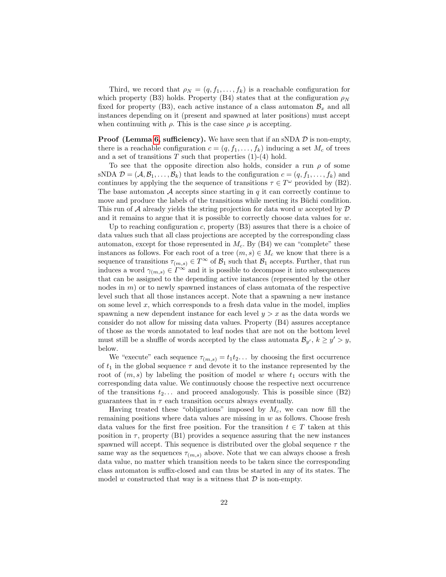Third, we record that  $\rho_N = (q, f_1, \ldots, f_k)$  is a reachable configuration for which property (B3) holds. Property (B4) states that at the configuration  $\rho_N$ fixed for property (B3), each active instance of a class automaton  $\mathcal{B}_x$  and all instances depending on it (present and spawned at later positions) must accept when continuing with  $\rho$ . This is the case since  $\rho$  is accepting.

**Proof (Lemma [6,](#page-14-0) sufficiency).** We have seen that if an sNDA  $D$  is non-empty, there is a reachable configuration  $c = (q, f_1, \ldots, f_k)$  inducing a set  $M_c$  of trees and a set of transitions  $T$  such that properties  $(1)-(4)$  hold.

To see that the opposite direction also holds, consider a run  $\rho$  of some sNDA  $\mathcal{D} = (\mathcal{A}, \mathcal{B}_1, \ldots, \mathcal{B}_k)$  that leads to the configuration  $c = (q, f_1, \ldots, f_k)$  and continues by applying the the sequence of transitions  $\tau \in T^{\omega}$  provided by (B2). The base automaton  $A$  accepts since starting in  $q$  it can correctly continue to move and produce the labels of the transitions while meeting its Büchi condition. This run of A already yields the string projection for data word w accepted by  $\mathcal D$ and it remains to argue that it is possible to correctly choose data values for  $w$ .

Up to reaching configuration c, property (B3) assures that there is a choice of data values such that all class projections are accepted by the corresponding class automaton, except for those represented in  $M_c$ . By (B4) we can "complete" these instances as follows. For each root of a tree  $(m, s) \in M_c$  we know that there is a sequence of transitions  $\tau_{(m,s)} \in T^{\infty}$  of  $\mathcal{B}_1$  such that  $\mathcal{B}_1$  accepts. Further, that run induces a word  $\gamma_{(m,s)} \in \Gamma^\infty$  and it is possible to decompose it into subsequences that can be assigned to the depending active instances (represented by the other nodes in  $m$ ) or to newly spawned instances of class automata of the respective level such that all those instances accept. Note that a spawning a new instance on some level  $x$ , which corresponds to a fresh data value in the model, implies spawning a new dependent instance for each level  $y > x$  as the data words we consider do not allow for missing data values. Property (B4) assures acceptance of those as the words annotated to leaf nodes that are not on the bottom level must still be a shuffle of words accepted by the class automata  $\mathcal{B}_{y'}$ ,  $k \geq y' > y$ , below.

We "execute" each sequence  $\tau_{(m,s)} = t_1 t_2 \dots$  by choosing the first occurrence of  $t_1$  in the global sequence  $\tau$  and devote it to the instance represented by the root of  $(m, s)$  by labeling the position of model w where  $t_1$  occurs with the corresponding data value. We continuously choose the respective next occurrence of the transitions  $t_2$ ... and proceed analogously. This is possible since (B2) guarantees that in  $\tau$  each transition occurs always eventually.

Having treated these "obligations" imposed by  $M_c$ , we can now fill the remaining positions where data values are missing in  $w$  as follows. Choose fresh data values for the first free position. For the transition  $t \in T$  taken at this position in  $\tau$ , property (B1) provides a sequence assuring that the new instances spawned will accept. This sequence is distributed over the global sequence  $\tau$  the same way as the sequences  $\tau_{(m,s)}$  above. Note that we can always choose a fresh data value, no matter which transition needs to be taken since the corresponding class automaton is suffix-closed and can thus be started in any of its states. The model w constructed that way is a witness that  $\mathcal D$  is non-empty.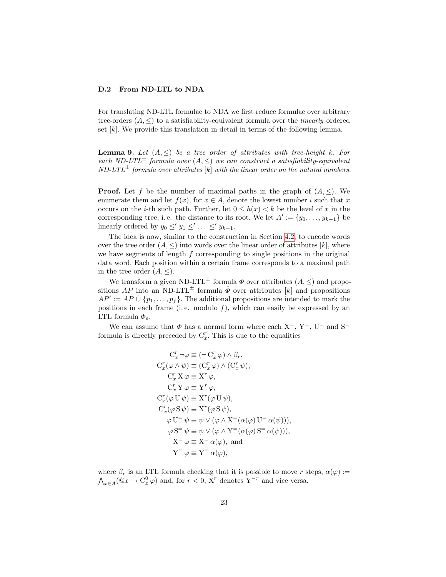#### D.2 From ND-LTL to NDA

For translating ND-LTL formulae to NDA we first reduce formulae over arbitrary tree-orders  $(A, \leq)$  to a satisfiability-equivalent formula over the *linearly* ordered set  $[k]$ . We provide this translation in detail in terms of the following lemma.

**Lemma 9.** Let  $(A, \leq)$  be a tree order of attributes with tree-height k. For each ND-LTL<sup> $\pm$ </sup> formula over  $(A, \leq)$  we can construct a satisfiability-equivalent  $ND-LTL^{\pm}$  formula over attributes [k] with the linear order on the natural numbers.

**Proof.** Let f be the number of maximal paths in the graph of  $(A, \leq)$ . We enumerate them and let  $f(x)$ , for  $x \in A$ , denote the lowest number i such that x occurs on the *i*-th such path. Further, let  $0 \leq h(x) < k$  be the level of x in the corresponding tree, i.e. the distance to its root. We let  $A' := \{y_0, \ldots, y_{k-1}\}\$ linearly ordered by  $y_0 \leq y_1 \leq \ldots \leq y_{k-1}$ .

The idea is now, similar to the construction in Section [4.2,](#page-8-2) to encode words over the tree order  $(A, \leq)$  into words over the linear order of attributes  $[k]$ , where we have segments of length  $f$  corresponding to single positions in the original data word. Each position within a certain frame corresponds to a maximal path in the tree order  $(A, \leq)$ .

We transform a given ND-LTL<sup> $\pm$ </sup> formula  $\Phi$  over attributes  $(A, \leq)$  and propositions AP into an ND-LTL<sup> $\pm$ </sup> formula  $\hat{\Phi}$  over attributes [k] and propositions  $AP' := AP \cup \{p_1, \ldots, p_f\}.$  The additional propositions are intended to mark the positions in each frame (i.e. modulo  $f$ ), which can easily be expressed by an LTL formula  $\Phi_e$ .

We can assume that  $\Phi$  has a normal form where each  $X^=$ ,  $Y^=$ ,  $U^=$  and  $S^=$ formula is directly preceded by  $C_x^r$ . This is due to the equalities

$$
C_x^r \neg \varphi \equiv (\neg C_x^r \varphi) \land \beta_r,
$$
  
\n
$$
C_x^r(\varphi \land \psi) \equiv (C_x^r \varphi) \land (C_x^r \psi),
$$
  
\n
$$
C_x^r X \varphi \equiv X^r \varphi,
$$
  
\n
$$
C_x^r Y \varphi \equiv Y^r \varphi,
$$
  
\n
$$
C_x^r(\varphi \cup \psi) \equiv X^r(\varphi \cup \psi),
$$
  
\n
$$
C_x^r(\varphi S \psi) \equiv X^r(\varphi S \psi),
$$
  
\n
$$
\varphi \cup \psi \equiv \psi \lor (\varphi \land X^=(\alpha(\varphi) \cup \alpha(\psi))),
$$
  
\n
$$
\varphi S^= \psi \equiv \psi \lor (\varphi \land Y^=(\alpha(\varphi) S^= \alpha(\psi))),
$$
  
\n
$$
X^= \varphi \equiv X^= \alpha(\varphi), \text{ and}
$$
  
\n
$$
Y^= \varphi \equiv Y^= \alpha(\varphi),
$$

where  $\beta_r$  is an LTL formula checking that it is possible to move r steps,  $\alpha(\varphi)$  :=  $\bigwedge_{x \in A} (\mathbb{Q}x \to \mathcal{C}^0_x \varphi)$  and, for  $r < 0$ ,  $\bar{X}^r$  denotes  $Y^{-r}$  and vice versa.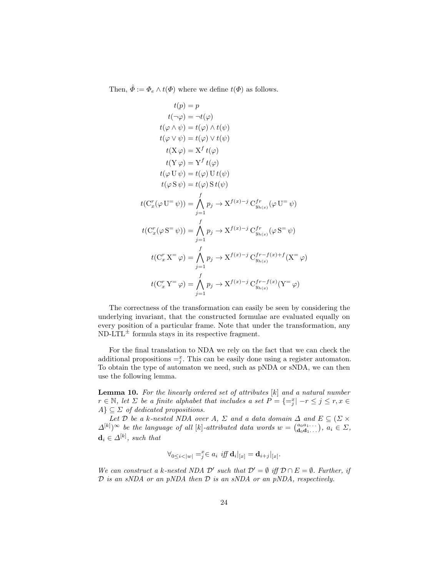Then,  $\hat{\Phi} := \Phi_e \wedge t(\Phi)$  where we define  $t(\Phi)$  as follows.

$$
t(p) = p
$$
  
\n
$$
t(\neg \varphi) = \neg t(\varphi)
$$
  
\n
$$
t(\varphi \land \psi) = t(\varphi) \land t(\psi)
$$
  
\n
$$
t(\varphi \lor \psi) = t(\varphi) \lor t(\psi)
$$
  
\n
$$
t(\mathbf{X} \varphi) = \mathbf{X}^f t(\varphi)
$$
  
\n
$$
t(\mathbf{Y} \varphi) = \mathbf{Y}^f t(\varphi)
$$
  
\n
$$
t(\varphi \mathbf{U} \psi) = t(\varphi) \mathbf{U} t(\psi)
$$
  
\n
$$
t(\varphi \mathbf{S} \psi) = t(\varphi) \mathbf{S} t(\psi)
$$
  
\n
$$
t(\mathbf{C}_x^r(\varphi \mathbf{U}^= \psi)) = \bigwedge_{j=1}^f p_j \to \mathbf{X}^{f(x)-j} \mathbf{C}_{y_{h(x)}}^{fr}(\varphi \mathbf{U}^= \psi)
$$
  
\n
$$
t(\mathbf{C}_x^r(\varphi \mathbf{S}^= \psi)) = \bigwedge_{j=1}^f p_j \to \mathbf{X}^{f(x)-j} \mathbf{C}_{y_{h(x)}}^{fr}(\varphi \mathbf{S}^= \psi)
$$
  
\n
$$
t(\mathbf{C}_x^r \mathbf{X}^= \varphi) = \bigwedge_{j=1}^f p_j \to \mathbf{X}^{f(x)-j} \mathbf{C}_{y_{h(x)}}^{fr-f(x)+f}(\mathbf{X}^= \varphi)
$$
  
\n
$$
t(\mathbf{C}_x^r \mathbf{Y}^= \varphi) = \bigwedge_{j=1}^f p_j \to \mathbf{X}^{f(x)-j} \mathbf{C}_{y_{h(x)}}^{fr-f(x)}(\mathbf{Y}^= \varphi)
$$

The correctness of the transformation can easily be seen by considering the underlying invariant, that the constructed formulae are evaluated equally on every position of a particular frame. Note that under the transformation, any  $ND-LTL^{\pm}$  formula stays in its respective fragment.

For the final translation to NDA we rely on the fact that we can check the additional propositions  $=\frac{x}{j}$ . This can be easily done using a register automaton. To obtain the type of automaton we need, such as pNDA or sNDA, we can then use the following lemma.

**Lemma 10.** For the linearly ordered set of attributes  $[k]$  and a natural number  $r \in \mathbb{N}$ , let  $\Sigma$  be a finite alphabet that includes a set  $P = \{\equiv_i^x | -r \leq j \leq r, x \in \mathbb{N}\}$  $A$ }  $\subseteq$   $\Sigma$  of dedicated propositions.

Let D be a k-nested NDA over A,  $\Sigma$  and a data domain  $\Delta$  and  $E \subseteq (\Sigma \times$  $\Delta^{[k]})^{\infty}$  be the language of all [k]-attributed data words  $w = \begin{pmatrix} a_0 a_1 & \cdots \\ a_0 a_1 & \cdots \end{pmatrix}$ ,  $a_i \in \Sigma$ ,  $\mathbf{d}_i \in \Delta^{[k]}$ , such that

$$
\forall_{0 \leq i < |w|} =^x_j \in a_i \text{ iff } \mathbf{d}_i|_{[x]} = \mathbf{d}_{i+j}|_{[x]}.
$$

We can construct a k-nested NDA  $\mathcal{D}'$  such that  $\mathcal{D}' = \emptyset$  iff  $\mathcal{D} \cap E = \emptyset$ . Further, if  $D$  is an sNDA or an pNDA then  $D$  is an sNDA or an pNDA, respectively.